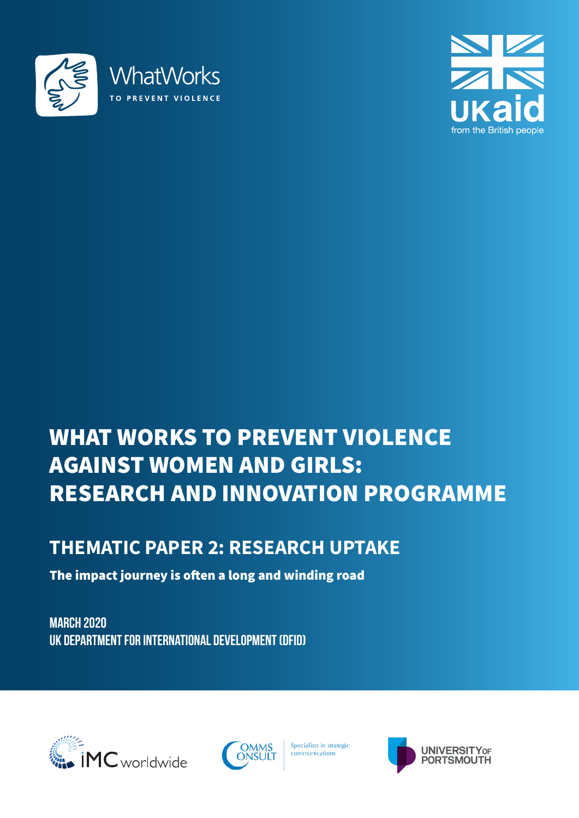



# WHAT WORKS TO PREVENT VIOLENCE AGAINST WOMEN AND GIRLS: RESEARCH AND INNOVATION PROGRAMME

# **THEMATIC PAPER 2: RESEARCH UPTAKE**

The impact journey is often a long and winding road

**march 2020 UK Department for international development (DFID)**





Specialists in strategic communications

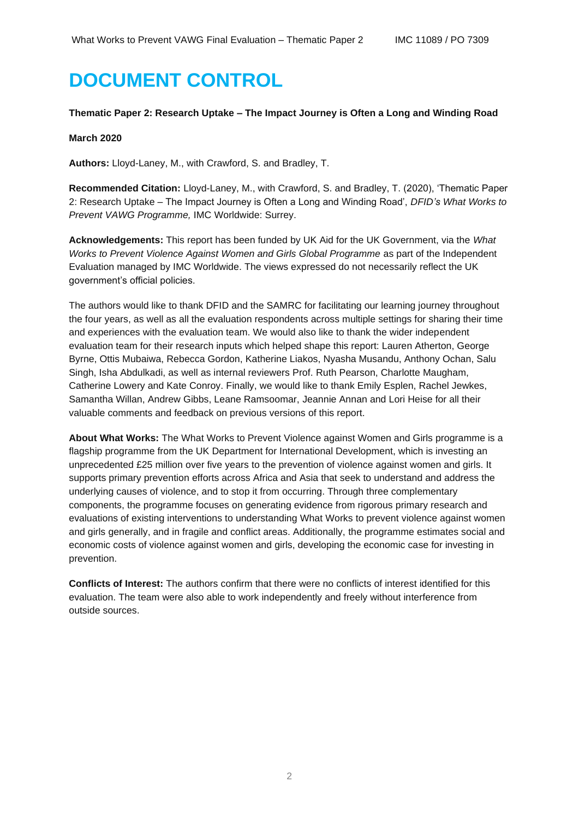# **DOCUMENT CONTROL**

#### **Thematic Paper 2: Research Uptake – The Impact Journey is Often a Long and Winding Road**

#### **March 2020**

**Authors:** Lloyd-Laney, M., with Crawford, S. and Bradley, T.

**Recommended Citation:** Lloyd-Laney, M., with Crawford, S. and Bradley, T. (2020), 'Thematic Paper 2: Research Uptake – The Impact Journey is Often a Long and Winding Road', *DFID's What Works to Prevent VAWG Programme,* IMC Worldwide: Surrey.

**Acknowledgements:** This report has been funded by UK Aid for the UK Government, via the *What Works to Prevent Violence Against Women and Girls Global Programme* as part of the Independent Evaluation managed by IMC Worldwide. The views expressed do not necessarily reflect the UK government's official policies.

The authors would like to thank DFID and the SAMRC for facilitating our learning journey throughout the four years, as well as all the evaluation respondents across multiple settings for sharing their time and experiences with the evaluation team. We would also like to thank the wider independent evaluation team for their research inputs which helped shape this report: Lauren Atherton, George Byrne, Ottis Mubaiwa, Rebecca Gordon, Katherine Liakos, Nyasha Musandu, Anthony Ochan, Salu Singh, Isha Abdulkadi, as well as internal reviewers Prof. Ruth Pearson, Charlotte Maugham, Catherine Lowery and Kate Conroy. Finally, we would like to thank Emily Esplen, Rachel Jewkes, Samantha Willan, Andrew Gibbs, Leane Ramsoomar, Jeannie Annan and Lori Heise for all their valuable comments and feedback on previous versions of this report.

**About What Works:** The What Works to Prevent Violence against Women and Girls programme is a flagship programme from the UK Department for International Development, which is investing an unprecedented £25 million over five years to the prevention of violence against women and girls. It supports primary prevention efforts across Africa and Asia that seek to understand and address the underlying causes of violence, and to stop it from occurring. Through three complementary components, the programme focuses on generating evidence from rigorous primary research and evaluations of existing interventions to understanding What Works to prevent violence against women and girls generally, and in fragile and conflict areas. Additionally, the programme estimates social and economic costs of violence against women and girls, developing the economic case for investing in prevention.

**Conflicts of Interest:** The authors confirm that there were no conflicts of interest identified for this evaluation. The team were also able to work independently and freely without interference from outside sources.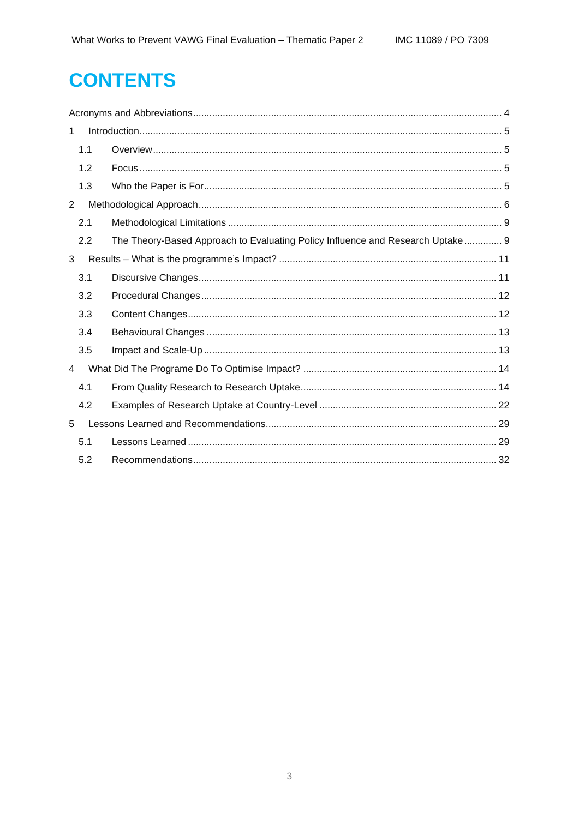# **CONTENTS**

| $\mathbf{1}$   |                                                                                |  |  |  |  |  |
|----------------|--------------------------------------------------------------------------------|--|--|--|--|--|
| 1.1            |                                                                                |  |  |  |  |  |
| 1.2            |                                                                                |  |  |  |  |  |
| 1.3            |                                                                                |  |  |  |  |  |
| $\overline{2}$ |                                                                                |  |  |  |  |  |
| 2.1            |                                                                                |  |  |  |  |  |
| 2.2            | The Theory-Based Approach to Evaluating Policy Influence and Research Uptake 9 |  |  |  |  |  |
| 3              |                                                                                |  |  |  |  |  |
| 3.1            |                                                                                |  |  |  |  |  |
| 3.2            |                                                                                |  |  |  |  |  |
| 3.3            |                                                                                |  |  |  |  |  |
| 3.4            |                                                                                |  |  |  |  |  |
| 3.5            |                                                                                |  |  |  |  |  |
| 4              |                                                                                |  |  |  |  |  |
| 4.1            |                                                                                |  |  |  |  |  |
| 4.2            |                                                                                |  |  |  |  |  |
| 5              |                                                                                |  |  |  |  |  |
| 5.1            |                                                                                |  |  |  |  |  |
| 5.2            |                                                                                |  |  |  |  |  |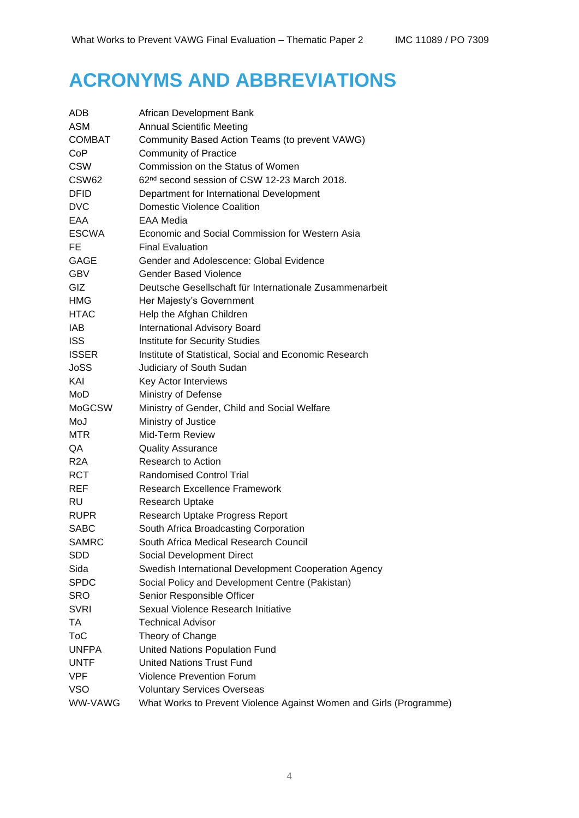# <span id="page-3-0"></span>**ACRONYMS AND ABBREVIATIONS**

| ADB           | African Development Bank                                           |
|---------------|--------------------------------------------------------------------|
| ASM           | <b>Annual Scientific Meeting</b>                                   |
| <b>COMBAT</b> | Community Based Action Teams (to prevent VAWG)                     |
| CoP           | <b>Community of Practice</b>                                       |
| <b>CSW</b>    | Commission on the Status of Women                                  |
| CSW62         | 62 <sup>nd</sup> second session of CSW 12-23 March 2018.           |
| <b>DFID</b>   | Department for International Development                           |
| <b>DVC</b>    | <b>Domestic Violence Coalition</b>                                 |
| EAA           | <b>EAA Media</b>                                                   |
| <b>ESCWA</b>  | Economic and Social Commission for Western Asia                    |
| FE.           | <b>Final Evaluation</b>                                            |
| GAGE          | Gender and Adolescence: Global Evidence                            |
| <b>GBV</b>    | <b>Gender Based Violence</b>                                       |
| <b>GIZ</b>    | Deutsche Gesellschaft für Internationale Zusammenarbeit            |
| <b>HMG</b>    | Her Majesty's Government                                           |
| <b>HTAC</b>   | Help the Afghan Children                                           |
| IAB           | International Advisory Board                                       |
| <b>ISS</b>    | Institute for Security Studies                                     |
| <b>ISSER</b>  | Institute of Statistical, Social and Economic Research             |
| <b>JoSS</b>   | Judiciary of South Sudan                                           |
| KAI           | Key Actor Interviews                                               |
| MoD           | Ministry of Defense                                                |
| <b>MoGCSW</b> | Ministry of Gender, Child and Social Welfare                       |
| MoJ           | Ministry of Justice                                                |
| MTR.          | Mid-Term Review                                                    |
| QA            | <b>Quality Assurance</b>                                           |
| R2A           | Research to Action                                                 |
| <b>RCT</b>    | <b>Randomised Control Trial</b>                                    |
| <b>REF</b>    | <b>Research Excellence Framework</b>                               |
| <b>RU</b>     | Research Uptake                                                    |
| <b>RUPR</b>   | Research Uptake Progress Report                                    |
| <b>SABC</b>   | South Africa Broadcasting Corporation                              |
| <b>SAMRC</b>  | South Africa Medical Research Council                              |
| <b>SDD</b>    | Social Development Direct                                          |
| Sida          | Swedish International Development Cooperation Agency               |
| <b>SPDC</b>   | Social Policy and Development Centre (Pakistan)                    |
| <b>SRO</b>    | Senior Responsible Officer                                         |
| <b>SVRI</b>   | Sexual Violence Research Initiative                                |
| TA            | <b>Technical Advisor</b>                                           |
| <b>ToC</b>    | Theory of Change                                                   |
| <b>UNFPA</b>  | United Nations Population Fund                                     |
| <b>UNTF</b>   | <b>United Nations Trust Fund</b>                                   |
| <b>VPF</b>    | Violence Prevention Forum                                          |
| <b>VSO</b>    | <b>Voluntary Services Overseas</b>                                 |
| WW-VAWG       | What Works to Prevent Violence Against Women and Girls (Programme) |
|               |                                                                    |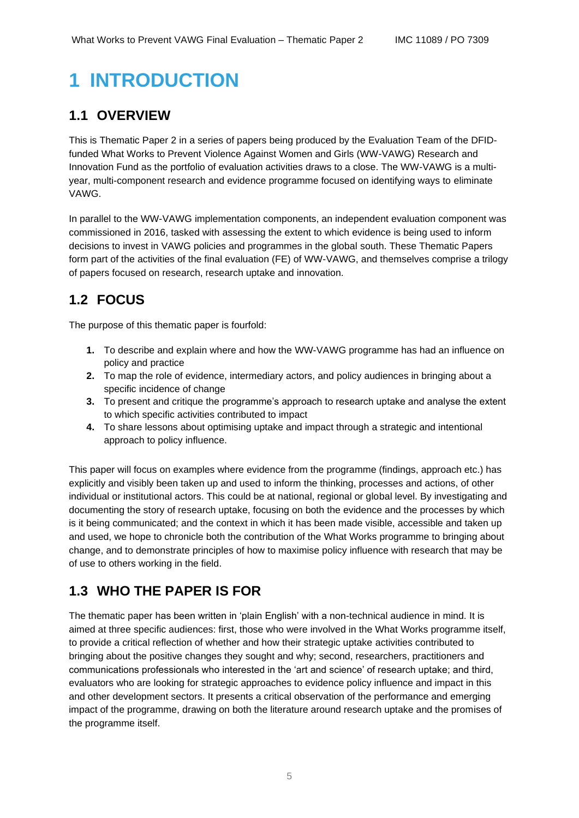# <span id="page-4-0"></span>**1 INTRODUCTION**

## <span id="page-4-1"></span>**1.1 OVERVIEW**

This is Thematic Paper 2 in a series of papers being produced by the Evaluation Team of the DFIDfunded What Works to Prevent Violence Against Women and Girls (WW-VAWG) Research and Innovation Fund as the portfolio of evaluation activities draws to a close. The WW-VAWG is a multiyear, multi-component research and evidence programme focused on identifying ways to eliminate VAWG.

In parallel to the WW-VAWG implementation components, an independent evaluation component was commissioned in 2016, tasked with assessing the extent to which evidence is being used to inform decisions to invest in VAWG policies and programmes in the global south. These Thematic Papers form part of the activities of the final evaluation (FE) of WW-VAWG, and themselves comprise a trilogy of papers focused on research, research uptake and innovation.

# <span id="page-4-2"></span>**1.2 FOCUS**

The purpose of this thematic paper is fourfold:

- **1.** To describe and explain where and how the WW-VAWG programme has had an influence on policy and practice
- **2.** To map the role of evidence, intermediary actors, and policy audiences in bringing about a specific incidence of change
- **3.** To present and critique the programme's approach to research uptake and analyse the extent to which specific activities contributed to impact
- **4.** To share lessons about optimising uptake and impact through a strategic and intentional approach to policy influence.

This paper will focus on examples where evidence from the programme (findings, approach etc.) has explicitly and visibly been taken up and used to inform the thinking, processes and actions, of other individual or institutional actors. This could be at national, regional or global level. By investigating and documenting the story of research uptake, focusing on both the evidence and the processes by which is it being communicated; and the context in which it has been made visible, accessible and taken up and used, we hope to chronicle both the contribution of the What Works programme to bringing about change, and to demonstrate principles of how to maximise policy influence with research that may be of use to others working in the field.

## <span id="page-4-3"></span>**1.3 WHO THE PAPER IS FOR**

The thematic paper has been written in 'plain English' with a non-technical audience in mind. It is aimed at three specific audiences: first, those who were involved in the What Works programme itself, to provide a critical reflection of whether and how their strategic uptake activities contributed to bringing about the positive changes they sought and why; second, researchers, practitioners and communications professionals who interested in the 'art and science' of research uptake; and third, evaluators who are looking for strategic approaches to evidence policy influence and impact in this and other development sectors. It presents a critical observation of the performance and emerging impact of the programme, drawing on both the literature around research uptake and the promises of the programme itself.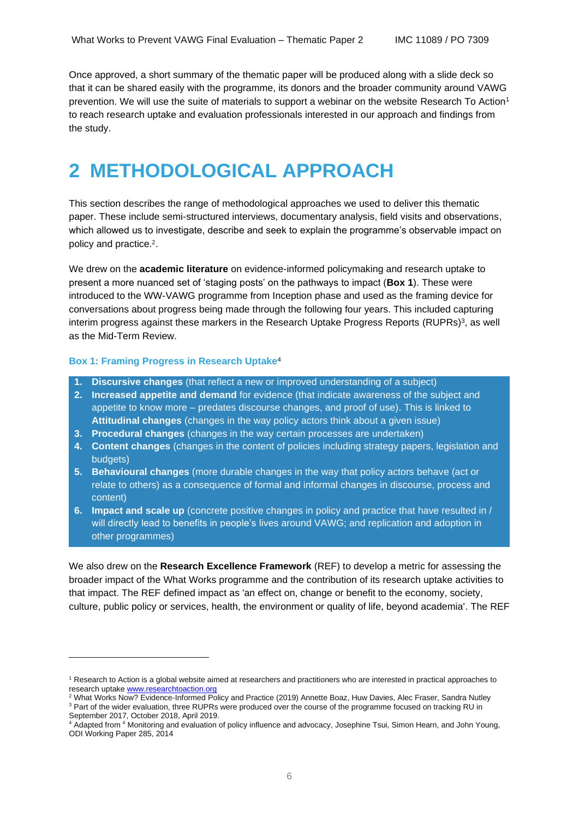Once approved, a short summary of the thematic paper will be produced along with a slide deck so that it can be shared easily with the programme, its donors and the broader community around VAWG prevention. We will use the suite of materials to support a webinar on the website Research To Action<sup>1</sup> to reach research uptake and evaluation professionals interested in our approach and findings from the study.

# <span id="page-5-0"></span>**2 METHODOLOGICAL APPROACH**

This section describes the range of methodological approaches we used to deliver this thematic paper. These include semi-structured interviews, documentary analysis, field visits and observations, which allowed us to investigate, describe and seek to explain the programme's observable impact on policy and practice.2.

We drew on the **academic literature** on evidence-informed policymaking and research uptake to present a more nuanced set of 'staging posts' on the pathways to impact (**Box 1**). These were introduced to the WW-VAWG programme from Inception phase and used as the framing device for conversations about progress being made through the following four years. This included capturing interim progress against these markers in the Research Uptake Progress Reports (RUPRs)<sup>3</sup>, as well as the Mid-Term Review.

#### **Box 1: Framing Progress in Research Uptake**<sup>4</sup>

- **1. Discursive changes** (that reflect a new or improved understanding of a subject)
- **2. Increased appetite and demand** for evidence (that indicate awareness of the subject and appetite to know more – predates discourse changes, and proof of use). This is linked to **Attitudinal changes** (changes in the way policy actors think about a given issue)
- **3. Procedural changes** (changes in the way certain processes are undertaken)
- **4. Content changes** (changes in the content of policies including strategy papers, legislation and budgets)
- **5. Behavioural changes** (more durable changes in the way that policy actors behave (act or relate to others) as a consequence of formal and informal changes in discourse, process and content)
- **6. Impact and scale up** (concrete positive changes in policy and practice that have resulted in / will directly lead to benefits in people's lives around VAWG; and replication and adoption in other programmes)

We also drew on the **Research Excellence Framework** (REF) to develop a metric for assessing the broader impact of the What Works programme and the contribution of its research uptake activities to that impact. The REF defined impact as 'an effect on, change or benefit to the economy, society, culture, public policy or services, health, the environment or quality of life, beyond academia'. The REF

<sup>&</sup>lt;sup>1</sup> Research to Action is a global website aimed at researchers and practitioners who are interested in practical approaches to research uptak[e www.researchtoaction.org](http://www.researchtoaction.org/)

<sup>&</sup>lt;sup>2</sup> What Works Now? Evidence-Informed Policy and Practice (2019) Annette Boaz, Huw Davies, Alec Fraser, Sandra Nutley <sup>3</sup> Part of the wider evaluation, three RUPRs were produced over the course of the programme focused on tracking RU in September 2017, October 2018, April 2019.

<sup>4</sup> Adapted from <sup>4</sup> Monitoring and evaluation of policy influence and advocacy, Josephine Tsui, Simon Hearn, and John Young, ODI Working Paper 285, 2014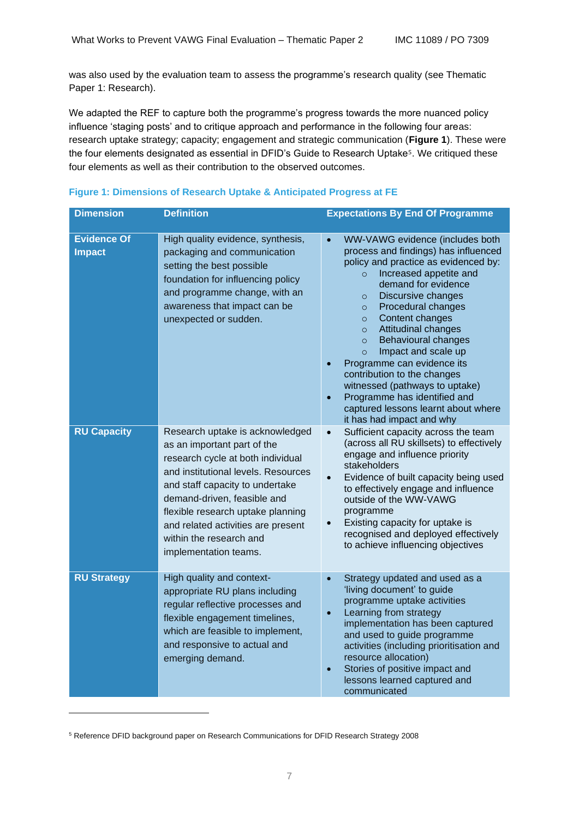was also used by the evaluation team to assess the programme's research quality (see Thematic Paper 1: Research).

We adapted the REF to capture both the programme's progress towards the more nuanced policy influence 'staging posts' and to critique approach and performance in the following four areas: research uptake strategy; capacity; engagement and strategic communication (**Figure 1**). These were the four elements designated as essential in DFID's Guide to Research Uptake<sup>5</sup>. We critiqued these four elements as well as their contribution to the observed outcomes.

| <b>Dimension</b>                    | <b>Definition</b>                                                                                                                                                                                                                                                                                                                           | <b>Expectations By End Of Programme</b>                                                                                                                                                                                                                                                                                                                                                                                                                                                                                                                                                                  |
|-------------------------------------|---------------------------------------------------------------------------------------------------------------------------------------------------------------------------------------------------------------------------------------------------------------------------------------------------------------------------------------------|----------------------------------------------------------------------------------------------------------------------------------------------------------------------------------------------------------------------------------------------------------------------------------------------------------------------------------------------------------------------------------------------------------------------------------------------------------------------------------------------------------------------------------------------------------------------------------------------------------|
| <b>Evidence Of</b><br><b>Impact</b> | High quality evidence, synthesis,<br>packaging and communication<br>setting the best possible<br>foundation for influencing policy<br>and programme change, with an<br>awareness that impact can be<br>unexpected or sudden.                                                                                                                | WW-VAWG evidence (includes both<br>$\bullet$<br>process and findings) has influenced<br>policy and practice as evidenced by:<br>Increased appetite and<br>$\circ$<br>demand for evidence<br>Discursive changes<br>$\circ$<br>Procedural changes<br>$\circ$<br>Content changes<br>$\circ$<br>Attitudinal changes<br>$\circ$<br><b>Behavioural changes</b><br>$\circ$<br>Impact and scale up<br>$\circ$<br>Programme can evidence its<br>contribution to the changes<br>witnessed (pathways to uptake)<br>Programme has identified and<br>captured lessons learnt about where<br>it has had impact and why |
| <b>RU Capacity</b>                  | Research uptake is acknowledged<br>as an important part of the<br>research cycle at both individual<br>and institutional levels. Resources<br>and staff capacity to undertake<br>demand-driven, feasible and<br>flexible research uptake planning<br>and related activities are present<br>within the research and<br>implementation teams. | Sufficient capacity across the team<br>$\bullet$<br>(across all RU skillsets) to effectively<br>engage and influence priority<br>stakeholders<br>Evidence of built capacity being used<br>$\bullet$<br>to effectively engage and influence<br>outside of the WW-VAWG<br>programme<br>Existing capacity for uptake is<br>recognised and deployed effectively<br>to achieve influencing objectives                                                                                                                                                                                                         |
| <b>RU Strategy</b>                  | High quality and context-<br>appropriate RU plans including<br>regular reflective processes and<br>flexible engagement timelines,<br>which are feasible to implement,<br>and responsive to actual and<br>emerging demand.                                                                                                                   | Strategy updated and used as a<br>$\bullet$<br>'living document' to guide<br>programme uptake activities<br>Learning from strategy<br>$\bullet$<br>implementation has been captured<br>and used to guide programme<br>activities (including prioritisation and<br>resource allocation)<br>Stories of positive impact and<br>$\bullet$<br>lessons learned captured and<br>communicated                                                                                                                                                                                                                    |

|  | Figure 1: Dimensions of Research Uptake & Anticipated Progress at FE |  |  |  |  |
|--|----------------------------------------------------------------------|--|--|--|--|
|  |                                                                      |  |  |  |  |

<sup>5</sup> Reference DFID background paper on Research Communications for DFID Research Strategy 2008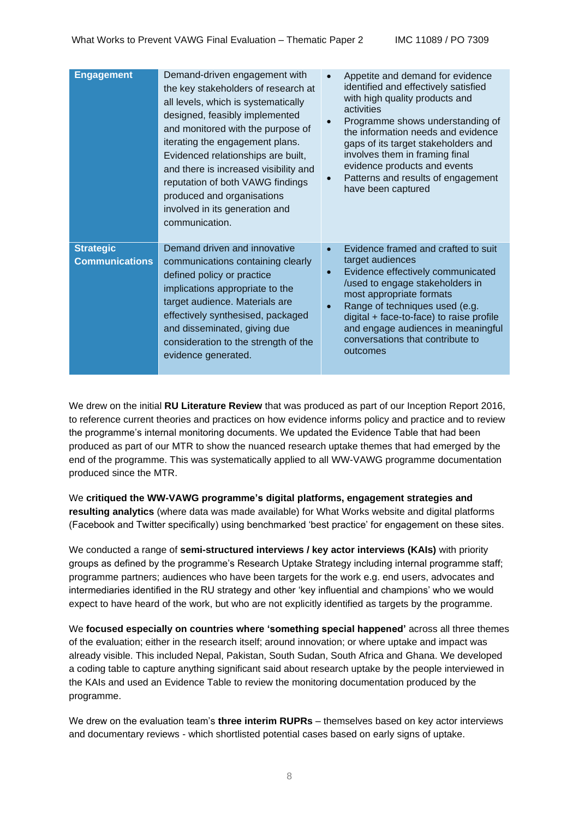| <b>Engagement</b>                         | Demand-driven engagement with<br>the key stakeholders of research at<br>all levels, which is systematically<br>designed, feasibly implemented<br>and monitored with the purpose of<br>iterating the engagement plans.<br>Evidenced relationships are built,<br>and there is increased visibility and<br>reputation of both VAWG findings<br>produced and organisations<br>involved in its generation and<br>communication. | $\bullet$<br>$\bullet$<br>$\bullet$ | Appetite and demand for evidence<br>identified and effectively satisfied<br>with high quality products and<br>activities<br>Programme shows understanding of<br>the information needs and evidence<br>gaps of its target stakeholders and<br>involves them in framing final<br>evidence products and events<br>Patterns and results of engagement<br>have been captured |
|-------------------------------------------|----------------------------------------------------------------------------------------------------------------------------------------------------------------------------------------------------------------------------------------------------------------------------------------------------------------------------------------------------------------------------------------------------------------------------|-------------------------------------|-------------------------------------------------------------------------------------------------------------------------------------------------------------------------------------------------------------------------------------------------------------------------------------------------------------------------------------------------------------------------|
| <b>Strategic</b><br><b>Communications</b> | Demand driven and innovative<br>communications containing clearly<br>defined policy or practice<br>implications appropriate to the<br>target audience. Materials are<br>effectively synthesised, packaged<br>and disseminated, giving due<br>consideration to the strength of the<br>evidence generated.                                                                                                                   | $\bullet$<br>$\bullet$<br>$\bullet$ | Evidence framed and crafted to suit<br>target audiences<br>Evidence effectively communicated<br>/used to engage stakeholders in<br>most appropriate formats<br>Range of techniques used (e.g.<br>digital + face-to-face) to raise profile<br>and engage audiences in meaningful<br>conversations that contribute to<br>outcomes                                         |

We drew on the initial **RU Literature Review** that was produced as part of our Inception Report 2016, to reference current theories and practices on how evidence informs policy and practice and to review the programme's internal monitoring documents. We updated the Evidence Table that had been produced as part of our MTR to show the nuanced research uptake themes that had emerged by the end of the programme. This was systematically applied to all WW-VAWG programme documentation produced since the MTR.

We **critiqued the WW-VAWG programme's digital platforms, engagement strategies and resulting analytics** (where data was made available) for What Works website and digital platforms (Facebook and Twitter specifically) using benchmarked 'best practice' for engagement on these sites.

We conducted a range of **semi-structured interviews / key actor interviews (KAIs)** with priority groups as defined by the programme's Research Uptake Strategy including internal programme staff; programme partners; audiences who have been targets for the work e.g. end users, advocates and intermediaries identified in the RU strategy and other 'key influential and champions' who we would expect to have heard of the work, but who are not explicitly identified as targets by the programme.

We **focused especially on countries where 'something special happened'** across all three themes of the evaluation; either in the research itself; around innovation; or where uptake and impact was already visible. This included Nepal, Pakistan, South Sudan, South Africa and Ghana. We developed a coding table to capture anything significant said about research uptake by the people interviewed in the KAIs and used an Evidence Table to review the monitoring documentation produced by the programme.

We drew on the evaluation team's **three interim RUPRs** – themselves based on key actor interviews and documentary reviews - which shortlisted potential cases based on early signs of uptake.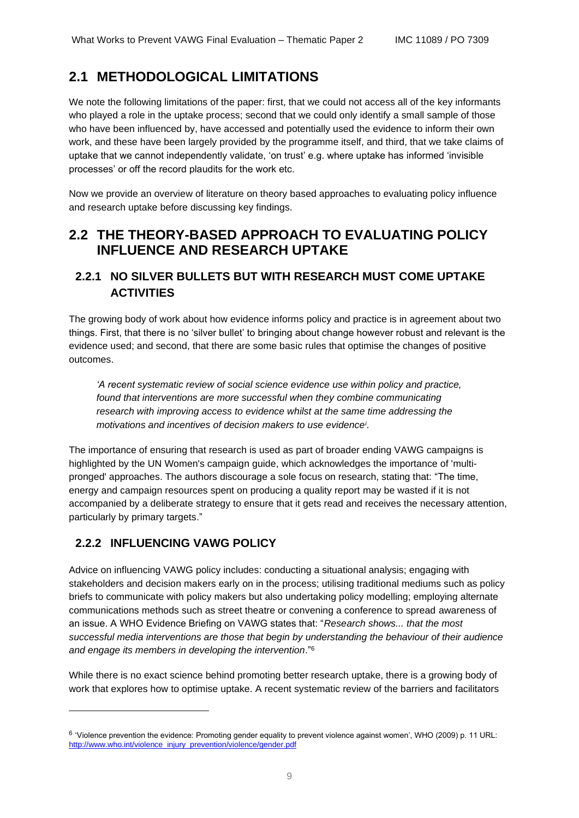## <span id="page-8-0"></span>**2.1 METHODOLOGICAL LIMITATIONS**

We note the following limitations of the paper: first, that we could not access all of the key informants who played a role in the uptake process; second that we could only identify a small sample of those who have been influenced by, have accessed and potentially used the evidence to inform their own work, and these have been largely provided by the programme itself, and third, that we take claims of uptake that we cannot independently validate, 'on trust' e.g. where uptake has informed 'invisible processes' or off the record plaudits for the work etc.

Now we provide an overview of literature on theory based approaches to evaluating policy influence and research uptake before discussing key findings.

## <span id="page-8-1"></span>**2.2 THE THEORY-BASED APPROACH TO EVALUATING POLICY INFLUENCE AND RESEARCH UPTAKE**

### **2.2.1 NO SILVER BULLETS BUT WITH RESEARCH MUST COME UPTAKE ACTIVITIES**

The growing body of work about how evidence informs policy and practice is in agreement about two things. First, that there is no 'silver bullet' to bringing about change however robust and relevant is the evidence used; and second, that there are some basic rules that optimise the changes of positive outcomes.

*'A recent systematic review of social science evidence use within policy and practice,*  found that interventions are more successful when they combine communicating *research with improving access to evidence whilst at the same time addressing the motivations and incentives of decision makers to use evidence<sup>i</sup> .* 

The importance of ensuring that research is used as part of broader ending VAWG campaigns is highlighted by the UN Women's campaign guide, which acknowledges the importance of 'multipronged' approaches. The authors discourage a sole focus on research, stating that: "The time, energy and campaign resources spent on producing a quality report may be wasted if it is not accompanied by a deliberate strategy to ensure that it gets read and receives the necessary attention, particularly by primary targets."

### **2.2.2 INFLUENCING VAWG POLICY**

Advice on influencing VAWG policy includes: conducting a situational analysis; engaging with stakeholders and decision makers early on in the process; utilising traditional mediums such as policy briefs to communicate with policy makers but also undertaking policy modelling; employing alternate communications methods such as street theatre or convening a conference to spread awareness of an issue. A WHO Evidence Briefing on VAWG states that: "*Research shows... that the most successful media interventions are those that begin by understanding the behaviour of their audience and engage its members in developing the intervention*." 6

While there is no exact science behind promoting better research uptake, there is a growing body of work that explores how to optimise uptake. A recent systematic review of the barriers and facilitators

<sup>&</sup>lt;sup>6</sup> 'Violence prevention the evidence: Promoting gender equality to prevent violence against women', WHO (2009) p. 11 URL: [http://www.who.int/violence\\_injury\\_prevention/violence/gender.pdf](http://www.who.int/violence_injury_prevention/violence/gender.pdf)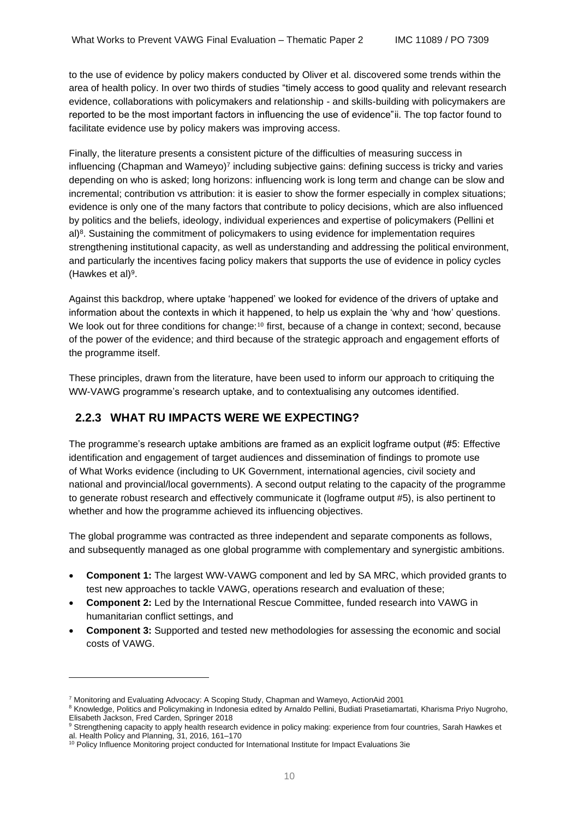to the use of evidence by policy makers conducted by Oliver et al. discovered some trends within the area of health policy. In over two thirds of studies "timely access to good quality and relevant research evidence, collaborations with policymakers and relationship - and skills-building with policymakers are reported to be the most important factors in influencing the use of evidence"ii. The top factor found to facilitate evidence use by policy makers was improving access.

Finally, the literature presents a consistent picture of the difficulties of measuring success in influencing (Chapman and Wameyo)<sup>7</sup> including subjective gains: defining success is tricky and varies depending on who is asked; long horizons: influencing work is long term and change can be slow and incremental; contribution vs attribution: it is easier to show the former especially in complex situations; evidence is only one of the many factors that contribute to policy decisions, which are also influenced by politics and the beliefs, ideology, individual experiences and expertise of policymakers (Pellini et al)<sup>8</sup>. Sustaining the commitment of policymakers to using evidence for implementation requires strengthening institutional capacity, as well as understanding and addressing the political environment, and particularly the incentives facing policy makers that supports the use of evidence in policy cycles (Hawkes et al)<sup>9</sup>.

Against this backdrop, where uptake 'happened' we looked for evidence of the drivers of uptake and information about the contexts in which it happened, to help us explain the 'why and 'how' questions. We look out for three conditions for change:<sup>10</sup> first, because of a change in context; second, because of the power of the evidence; and third because of the strategic approach and engagement efforts of the programme itself.

These principles, drawn from the literature, have been used to inform our approach to critiquing the WW-VAWG programme's research uptake, and to contextualising any outcomes identified.

### **2.2.3 WHAT RU IMPACTS WERE WE EXPECTING?**

The programme's research uptake ambitions are framed as an explicit logframe output (#5: Effective identification and engagement of target audiences and dissemination of findings to promote use of What Works evidence (including to UK Government, international agencies, civil society and national and provincial/local governments). A second output relating to the capacity of the programme to generate robust research and effectively communicate it (logframe output #5), is also pertinent to whether and how the programme achieved its influencing objectives.

The global programme was contracted as three independent and separate components as follows, and subsequently managed as one global programme with complementary and synergistic ambitions.

- **Component 1:** The largest WW-VAWG component and led by SA MRC, which provided grants to test new approaches to tackle VAWG, operations research and evaluation of these;
- **Component 2:** Led by the International Rescue Committee, funded research into VAWG in humanitarian conflict settings, and
- **Component 3:** Supported and tested new methodologies for assessing the economic and social costs of VAWG.

<sup>7</sup> Monitoring and Evaluating Advocacy: A Scoping Study, Chapman and Wameyo, ActionAid 2001

<sup>&</sup>lt;sup>8</sup> Knowledge, Politics and Policymaking in Indonesia edited by Arnaldo Pellini, Budiati Prasetiamartati, Kharisma Priyo Nugroho, Elisabeth Jackson, Fred Carden, Springer 2018

<sup>&</sup>lt;sup>9</sup> Strengthening capacity to apply health research evidence in policy making: experience from four countries, Sarah Hawkes et al. Health Policy and Planning, 31, 2016, 161–170

<sup>&</sup>lt;sup>10</sup> Policy Influence Monitoring project conducted for International Institute for Impact Evaluations 3ie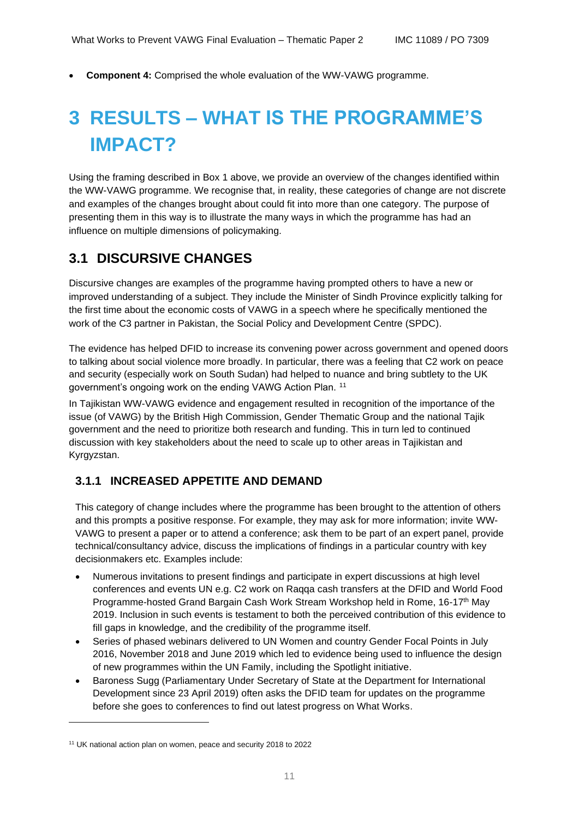• **Component 4:** Comprised the whole evaluation of the WW-VAWG programme.

# <span id="page-10-0"></span>**3 RESULTS – WHAT IS THE PROGRAMME'S IMPACT?**

Using the framing described in Box 1 above, we provide an overview of the changes identified within the WW-VAWG programme. We recognise that, in reality, these categories of change are not discrete and examples of the changes brought about could fit into more than one category. The purpose of presenting them in this way is to illustrate the many ways in which the programme has had an influence on multiple dimensions of policymaking.

## <span id="page-10-1"></span>**3.1 DISCURSIVE CHANGES**

Discursive changes are examples of the programme having prompted others to have a new or improved understanding of a subject. They include the Minister of Sindh Province explicitly talking for the first time about the economic costs of VAWG in a speech where he specifically mentioned the work of the C3 partner in Pakistan, the Social Policy and Development Centre (SPDC).

The evidence has helped DFID to increase its convening power across government and opened doors to talking about social violence more broadly. In particular, there was a feeling that C2 work on peace and security (especially work on South Sudan) had helped to nuance and bring subtlety to the UK government's ongoing work on the ending VAWG Action Plan. <sup>11</sup>

In Tajikistan WW-VAWG evidence and engagement resulted in recognition of the importance of the issue (of VAWG) by the British High Commission, Gender Thematic Group and the national Tajik government and the need to prioritize both research and funding. This in turn led to continued discussion with key stakeholders about the need to scale up to other areas in Tajikistan and Kyrgyzstan.

### **3.1.1 INCREASED APPETITE AND DEMAND**

This category of change includes where the programme has been brought to the attention of others and this prompts a positive response. For example, they may ask for more information; invite WW-VAWG to present a paper or to attend a conference; ask them to be part of an expert panel, provide technical/consultancy advice, discuss the implications of findings in a particular country with key decisionmakers etc. Examples include:

- Numerous invitations to present findings and participate in expert discussions at high level conferences and events UN e.g. C2 work on Raqqa cash transfers at the DFID and World Food Programme-hosted Grand Bargain Cash Work Stream Workshop held in Rome, 16-17th May 2019. Inclusion in such events is testament to both the perceived contribution of this evidence to fill gaps in knowledge, and the credibility of the programme itself.
- Series of phased webinars delivered to UN Women and country Gender Focal Points in July 2016, November 2018 and June 2019 which led to evidence being used to influence the design of new programmes within the UN Family, including the Spotlight initiative.
- Baroness Sugg (Parliamentary Under Secretary of State at the Department for International Development since 23 April 2019) often asks the DFID team for updates on the programme before she goes to conferences to find out latest progress on What Works.

<sup>11</sup> UK national action plan on women, peace and security 2018 to 2022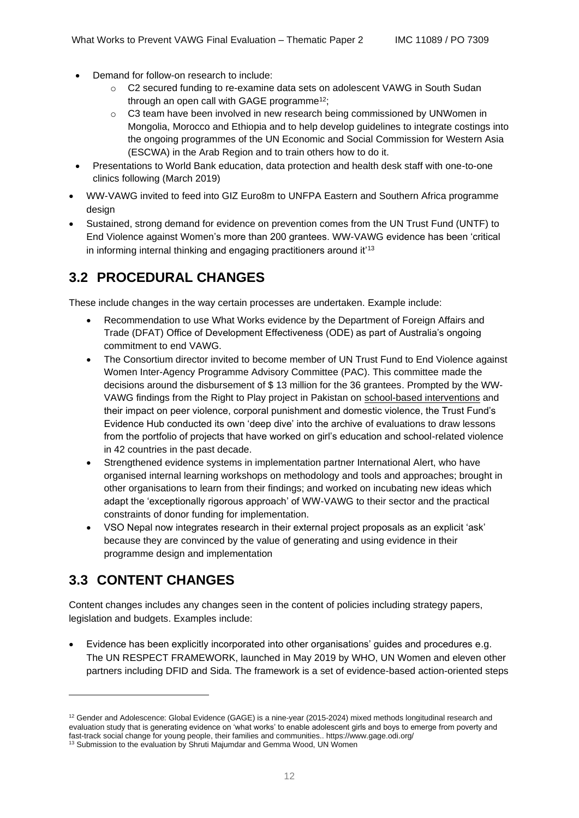- Demand for follow-on research to include:
	- o C2 secured funding to re-examine data sets on adolescent VAWG in South Sudan through an open call with GAGE programme<sup>12</sup>;
	- o C3 team have been involved in new research being commissioned by UNWomen in Mongolia, Morocco and Ethiopia and to help develop guidelines to integrate costings into the ongoing programmes of the UN Economic and Social Commission for Western Asia (ESCWA) in the Arab Region and to train others how to do it.
- Presentations to World Bank education, data protection and health desk staff with one-to-one clinics following (March 2019)
- WW-VAWG invited to feed into GIZ Euro8m to UNFPA Eastern and Southern Africa programme design
- Sustained, strong demand for evidence on prevention comes from the UN Trust Fund (UNTF) to End Violence against Women's more than 200 grantees. WW-VAWG evidence has been 'critical in informing internal thinking and engaging practitioners around it<sup>'13</sup>

## <span id="page-11-0"></span>**3.2 PROCEDURAL CHANGES**

These include changes in the way certain processes are undertaken. Example include:

- Recommendation to use What Works evidence by the Department of Foreign Affairs and Trade (DFAT) Office of Development Effectiveness (ODE) as part of Australia's ongoing commitment to end VAWG.
- The Consortium director invited to become member of UN Trust Fund to End Violence against Women Inter-Agency Programme Advisory Committee (PAC). This committee made the decisions around the disbursement of \$ 13 million for the 36 grantees. Prompted by the WW-VAWG findings from the Right to Play project in Pakistan on [school-based interventions](https://www.whatworks.co.za/resources/policy-briefs/item/466-right-to-play-preventing-violence-among-and-against-children-in-schools-in-hyderabad-pakistan) and their impact on peer violence, corporal punishment and domestic violence, the Trust Fund's Evidence Hub conducted its own 'deep dive' into the archive of evaluations to draw lessons from the portfolio of projects that have worked on girl's education and school-related violence in 42 countries in the past decade.
- Strengthened evidence systems in implementation partner International Alert, who have organised internal learning workshops on methodology and tools and approaches; brought in other organisations to learn from their findings; and worked on incubating new ideas which adapt the 'exceptionally rigorous approach' of WW-VAWG to their sector and the practical constraints of donor funding for implementation.
- VSO Nepal now integrates research in their external project proposals as an explicit 'ask' because they are convinced by the value of generating and using evidence in their programme design and implementation

# <span id="page-11-1"></span>**3.3 CONTENT CHANGES**

Content changes includes any changes seen in the content of policies including strategy papers, legislation and budgets. Examples include:

• Evidence has been explicitly incorporated into other organisations' guides and procedures e.g. The UN RESPECT FRAMEWORK, launched in May 2019 by WHO, UN Women and eleven other partners including DFID and Sida. The framework is a set of evidence-based action-oriented steps

 $12$  Gender and Adolescence: Global Evidence (GAGE) is a nine-year (2015-2024) mixed methods longitudinal research and evaluation study that is generating evidence on 'what works' to enable adolescent girls and boys to emerge from poverty and fast-track social change for young people, their families and communities.. https://www.gage.odi.org/

<sup>&</sup>lt;sup>13</sup> Submission to the evaluation by Shruti Majumdar and Gemma Wood, UN Women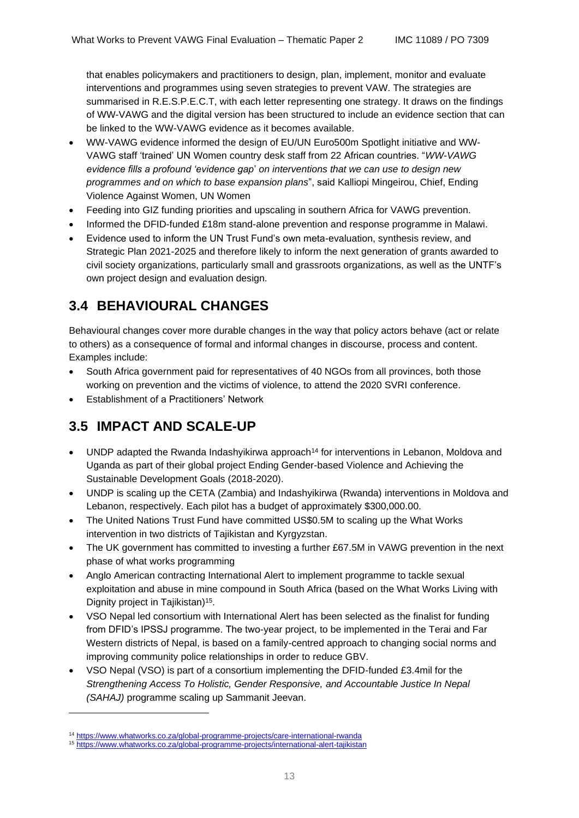that enables policymakers and practitioners to design, plan, implement, monitor and evaluate interventions and programmes using seven strategies to prevent VAW. The strategies are summarised in R.E.S.P.E.C.T, with each letter representing one strategy. It draws on the findings of WW-VAWG and the digital version has been structured to include an evidence section that can be linked to the WW-VAWG evidence as it becomes available.

- WW-VAWG evidence informed the design of EU/UN Euro500m Spotlight initiative and WW-VAWG staff 'trained' UN Women country desk staff from 22 African countries. "*WW-VAWG evidence fills a profound 'evidence gap*' *on interventions that we can use to design new programmes and on which to base expansion plans*", said Kalliopi Mingeirou, Chief, Ending Violence Against Women, UN Women
- Feeding into GIZ funding priorities and upscaling in southern Africa for VAWG prevention.
- Informed the DFID-funded £18m stand-alone prevention and response programme in Malawi.
- Evidence used to inform the UN Trust Fund's own meta-evaluation, synthesis review, and Strategic Plan 2021-2025 and therefore likely to inform the next generation of grants awarded to civil society organizations, particularly small and grassroots organizations, as well as the UNTF's own project design and evaluation design.

## <span id="page-12-0"></span>**3.4 BEHAVIOURAL CHANGES**

Behavioural changes cover more durable changes in the way that policy actors behave (act or relate to others) as a consequence of formal and informal changes in discourse, process and content. Examples include:

- South Africa government paid for representatives of 40 NGOs from all provinces, both those working on prevention and the victims of violence, to attend the 2020 SVRI conference.
- Establishment of a Practitioners' Network

## <span id="page-12-1"></span>**3.5 IMPACT AND SCALE-UP**

- UNDP adapted the Rwanda Indashyikirwa approach<sup>14</sup> for interventions in Lebanon, Moldova and Uganda as part of their global project Ending Gender-based Violence and Achieving the Sustainable Development Goals (2018-2020).
- UNDP is scaling up the [CETA \(Zambia\) and Indashyikirwa \(Rwanda\)](http://www.undp.org/content/undp/en/home/blog/2019/four-ways-to-act-now.html) interventions in Moldova and Lebanon, respectively. Each pilot has a budget of approximately \$300,000.00.
- The United Nations Trust Fund have committed US\$0.5M to scaling up the What Works intervention in two districts of Tajikistan and Kyrgyzstan.
- The UK government has committed to investing a further £67.5M in VAWG prevention in the next phase of what works programming
- Anglo American contracting International Alert to implement programme to tackle sexual exploitation and abuse in mine compound in South Africa (based on the What Works Living with Dignity project in Tajikistan)<sup>15</sup>.
- VSO Nepal led consortium with International Alert has been selected as the finalist for funding from DFID's IPSSJ programme. The two-year project, to be implemented in the Terai and Far Western districts of Nepal, is based on a family-centred approach to changing social norms and improving community police relationships in order to reduce GBV.
- VSO Nepal (VSO) is part of a consortium implementing the DFID-funded £3.4mil for the *Strengthening Access To Holistic, Gender Responsive, and Accountable Justice In Nepal (SAHAJ)* programme scaling up Sammanit Jeevan.

<sup>14</sup> <https://www.whatworks.co.za/global-programme-projects/care-international-rwanda>

<sup>15</sup> <https://www.whatworks.co.za/global-programme-projects/international-alert-tajikistan>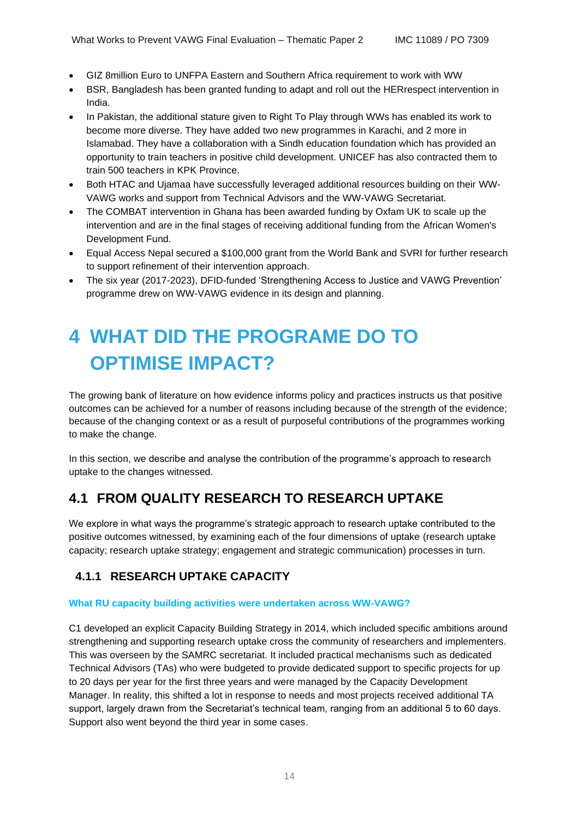- GIZ 8million Euro to UNFPA Eastern and Southern Africa requirement to work with WW
- BSR, Bangladesh has been granted funding to adapt and roll out the HERrespect intervention in India.
- In Pakistan, the additional stature given to Right To Play through WWs has enabled its work to become more diverse. They have added two new programmes in Karachi, and 2 more in Islamabad. They have a collaboration with a Sindh education foundation which has provided an opportunity to train teachers in positive child development. UNICEF has also contracted them to train 500 teachers in KPK Province.
- Both HTAC and Ujamaa have successfully leveraged additional resources building on their WW-VAWG works and support from Technical Advisors and the WW-VAWG Secretariat.
- The COMBAT intervention in Ghana has been awarded funding by Oxfam UK to scale up the intervention and are in the final stages of receiving additional funding from the African Women's Development Fund.
- Equal Access Nepal secured a \$100,000 grant from the World Bank and SVRI for further research to support refinement of their intervention approach.
- The six year (2017-2023), DFID-funded 'Strengthening Access to Justice and VAWG Prevention' programme drew on WW-VAWG evidence in its design and planning.

# <span id="page-13-0"></span>**4 WHAT DID THE PROGRAME DO TO OPTIMISE IMPACT?**

The growing bank of literature on how evidence informs policy and practices instructs us that positive outcomes can be achieved for a number of reasons including because of the strength of the evidence; because of the changing context or as a result of purposeful contributions of the programmes working to make the change.

In this section, we describe and analyse the contribution of the programme's approach to research uptake to the changes witnessed.

# <span id="page-13-1"></span>**4.1 FROM QUALITY RESEARCH TO RESEARCH UPTAKE**

We explore in what ways the programme's strategic approach to research uptake contributed to the positive outcomes witnessed, by examining each of the four dimensions of uptake (research uptake capacity; research uptake strategy; engagement and strategic communication) processes in turn.

## **4.1.1 RESEARCH UPTAKE CAPACITY**

#### **What RU capacity building activities were undertaken across WW-VAWG?**

C1 developed an explicit Capacity Building Strategy in 2014, which included specific ambitions around strengthening and supporting research uptake cross the community of researchers and implementers. This was overseen by the SAMRC secretariat. It included practical mechanisms such as dedicated Technical Advisors (TAs) who were budgeted to provide dedicated support to specific projects for up to 20 days per year for the first three years and were managed by the Capacity Development Manager. In reality, this shifted a lot in response to needs and most projects received additional TA support, largely drawn from the Secretariat's technical team, ranging from an additional 5 to 60 days. Support also went beyond the third year in some cases.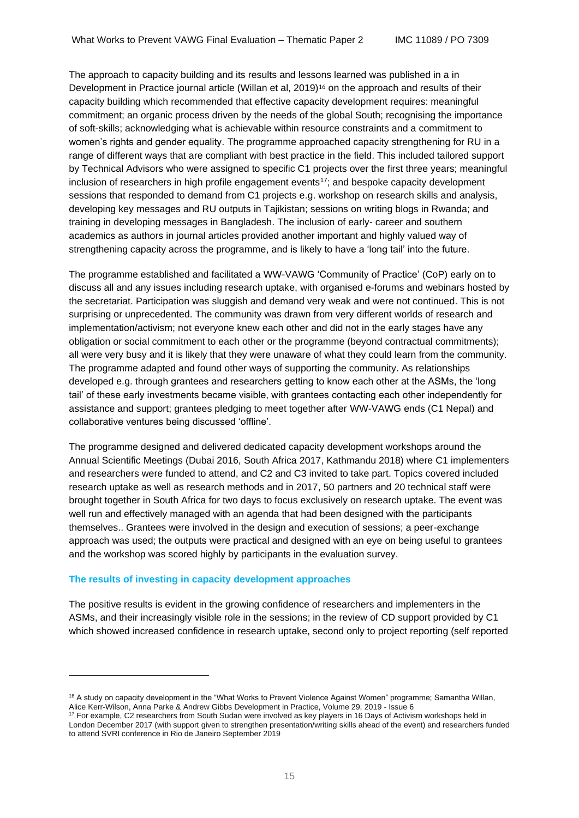The approach to capacity building and its results and lessons learned was published in a in Development in Practice journal article (Willan et al, 2019)<sup>16</sup> on the approach and results of their capacity building which recommended that effective capacity development requires: meaningful commitment; an organic process driven by the needs of the global South; recognising the importance of soft-skills; acknowledging what is achievable within resource constraints and a commitment to women's rights and gender equality. The programme approached capacity strengthening for RU in a range of different ways that are compliant with best practice in the field. This included tailored support by Technical Advisors who were assigned to specific C1 projects over the first three years; meaningful inclusion of researchers in high profile engagement events<sup>17</sup>; and bespoke capacity development sessions that responded to demand from C1 projects e.g. workshop on research skills and analysis, developing key messages and RU outputs in Tajikistan; sessions on writing blogs in Rwanda; and training in developing messages in Bangladesh. The inclusion of early- career and southern academics as authors in journal articles provided another important and highly valued way of strengthening capacity across the programme, and is likely to have a 'long tail' into the future.

The programme established and facilitated a WW-VAWG 'Community of Practice' (CoP) early on to discuss all and any issues including research uptake, with organised e-forums and webinars hosted by the secretariat. Participation was sluggish and demand very weak and were not continued. This is not surprising or unprecedented. The community was drawn from very different worlds of research and implementation/activism; not everyone knew each other and did not in the early stages have any obligation or social commitment to each other or the programme (beyond contractual commitments); all were very busy and it is likely that they were unaware of what they could learn from the community. The programme adapted and found other ways of supporting the community. As relationships developed e.g. through grantees and researchers getting to know each other at the ASMs, the 'long tail' of these early investments became visible, with grantees contacting each other independently for assistance and support; grantees pledging to meet together after WW-VAWG ends (C1 Nepal) and collaborative ventures being discussed 'offline'.

The programme designed and delivered dedicated capacity development workshops around the Annual Scientific Meetings (Dubai 2016, South Africa 2017, Kathmandu 2018) where C1 implementers and researchers were funded to attend, and C2 and C3 invited to take part. Topics covered included research uptake as well as research methods and in 2017, 50 partners and 20 technical staff were brought together in South Africa for two days to focus exclusively on research uptake. The event was well run and effectively managed with an agenda that had been designed with the participants themselves.. Grantees were involved in the design and execution of sessions; a peer-exchange approach was used; the outputs were practical and designed with an eye on being useful to grantees and the workshop was scored highly by participants in the evaluation survey.

#### **The results of investing in capacity development approaches**

The positive results is evident in the growing confidence of researchers and implementers in the ASMs, and their increasingly visible role in the sessions; in the review of CD support provided by C1 which showed increased confidence in research uptake, second only to project reporting (self reported

<sup>&</sup>lt;sup>16</sup> A study on capacity development in the "What Works to Prevent Violence Against Women" programme; Samantha Willan, Alice Kerr-Wilson, Anna Parke & Andrew Gibbs Development in Practice, Volume 29, 2019 - Issue 6

<sup>17</sup> For example, C2 researchers from South Sudan were involved as key players in 16 Days of Activism workshops held in London December 2017 (with support given to strengthen presentation/writing skills ahead of the event) and researchers funded to attend SVRI conference in Rio de Janeiro September 2019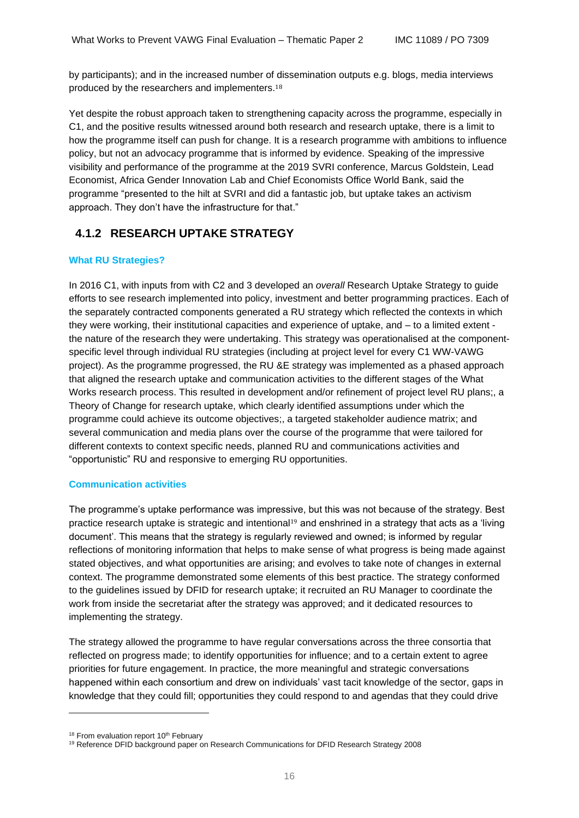by participants); and in the increased number of dissemination outputs e.g. blogs, media interviews produced by the researchers and implementers.<sup>18</sup>

Yet despite the robust approach taken to strengthening capacity across the programme, especially in C1, and the positive results witnessed around both research and research uptake, there is a limit to how the programme itself can push for change. It is a research programme with ambitions to influence policy, but not an advocacy programme that is informed by evidence. Speaking of the impressive visibility and performance of the programme at the 2019 SVRI conference, Marcus Goldstein, Lead Economist, Africa Gender Innovation Lab and Chief Economists Office World Bank, said the programme "presented to the hilt at SVRI and did a fantastic job, but uptake takes an activism approach. They don't have the infrastructure for that."

### **4.1.2 RESEARCH UPTAKE STRATEGY**

#### **What RU Strategies?**

In 2016 C1, with inputs from with C2 and 3 developed an *overall* Research Uptake Strategy to guide efforts to see research implemented into policy, investment and better programming practices. Each of the separately contracted components generated a RU strategy which reflected the contexts in which they were working, their institutional capacities and experience of uptake, and – to a limited extent the nature of the research they were undertaking. This strategy was operationalised at the componentspecific level through individual RU strategies (including at project level for every C1 WW-VAWG project). As the programme progressed, the RU &E strategy was implemented as a phased approach that aligned the research uptake and communication activities to the different stages of the What Works research process. This resulted in development and/or refinement of project level RU plans;, a Theory of Change for research uptake, which clearly identified assumptions under which the programme could achieve its outcome objectives;, a targeted stakeholder audience matrix; and several communication and media plans over the course of the programme that were tailored for different contexts to context specific needs, planned RU and communications activities and "opportunistic" RU and responsive to emerging RU opportunities.

#### **Communication activities**

The programme's uptake performance was impressive, but this was not because of the strategy. Best practice research uptake is strategic and intentional<sup>19</sup> and enshrined in a strategy that acts as a 'living document'. This means that the strategy is regularly reviewed and owned; is informed by regular reflections of monitoring information that helps to make sense of what progress is being made against stated objectives, and what opportunities are arising; and evolves to take note of changes in external context. The programme demonstrated some elements of this best practice. The strategy conformed to the guidelines issued by DFID for research uptake; it recruited an RU Manager to coordinate the work from inside the secretariat after the strategy was approved; and it dedicated resources to implementing the strategy.

The strategy allowed the programme to have regular conversations across the three consortia that reflected on progress made; to identify opportunities for influence; and to a certain extent to agree priorities for future engagement. In practice, the more meaningful and strategic conversations happened within each consortium and drew on individuals' vast tacit knowledge of the sector, gaps in knowledge that they could fill; opportunities they could respond to and agendas that they could drive

<sup>&</sup>lt;sup>18</sup> From evaluation report 10<sup>th</sup> February

<sup>&</sup>lt;sup>19</sup> Reference DFID background paper on Research Communications for DFID Research Strategy 2008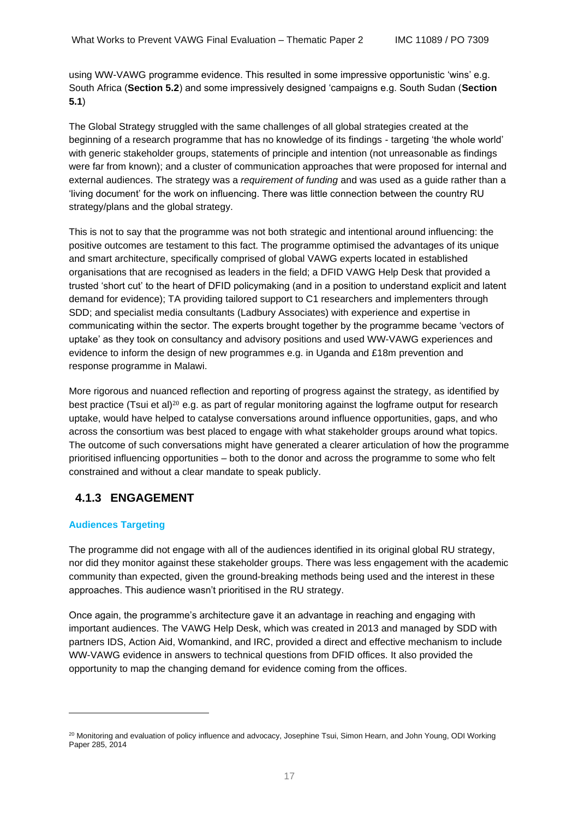using WW-VAWG programme evidence. This resulted in some impressive opportunistic 'wins' e.g. South Africa (**Section 5.2**) and some impressively designed 'campaigns e.g. South Sudan (**Section 5.1**)

The Global Strategy struggled with the same challenges of all global strategies created at the beginning of a research programme that has no knowledge of its findings - targeting 'the whole world' with generic stakeholder groups, statements of principle and intention (not unreasonable as findings were far from known); and a cluster of communication approaches that were proposed for internal and external audiences. The strategy was a *requirement of funding* and was used as a guide rather than a 'living document' for the work on influencing. There was little connection between the country RU strategy/plans and the global strategy.

This is not to say that the programme was not both strategic and intentional around influencing: the positive outcomes are testament to this fact. The programme optimised the advantages of its unique and smart architecture, specifically comprised of global VAWG experts located in established organisations that are recognised as leaders in the field; a DFID VAWG Help Desk that provided a trusted 'short cut' to the heart of DFID policymaking (and in a position to understand explicit and latent demand for evidence); TA providing tailored support to C1 researchers and implementers through SDD; and specialist media consultants (Ladbury Associates) with experience and expertise in communicating within the sector. The experts brought together by the programme became 'vectors of uptake' as they took on consultancy and advisory positions and used WW-VAWG experiences and evidence to inform the design of new programmes e.g. in Uganda and £18m prevention and response programme in Malawi.

More rigorous and nuanced reflection and reporting of progress against the strategy, as identified by best practice (Tsui et al)<sup>20</sup> e.g. as part of regular monitoring against the logframe output for research uptake, would have helped to catalyse conversations around influence opportunities, gaps, and who across the consortium was best placed to engage with what stakeholder groups around what topics. The outcome of such conversations might have generated a clearer articulation of how the programme prioritised influencing opportunities – both to the donor and across the programme to some who felt constrained and without a clear mandate to speak publicly.

### **4.1.3 ENGAGEMENT**

#### **Audiences Targeting**

The programme did not engage with all of the audiences identified in its original global RU strategy, nor did they monitor against these stakeholder groups. There was less engagement with the academic community than expected, given the ground-breaking methods being used and the interest in these approaches. This audience wasn't prioritised in the RU strategy.

Once again, the programme's architecture gave it an advantage in reaching and engaging with important audiences. The VAWG Help Desk, which was created in 2013 and managed by SDD with partners IDS, Action Aid, Womankind, and IRC, provided a direct and effective mechanism to include WW-VAWG evidence in answers to technical questions from DFID offices. It also provided the opportunity to map the changing demand for evidence coming from the offices.

<sup>&</sup>lt;sup>20</sup> Monitoring and evaluation of policy influence and advocacy, Josephine Tsui, Simon Hearn, and John Young, ODI Working Paper 285, 2014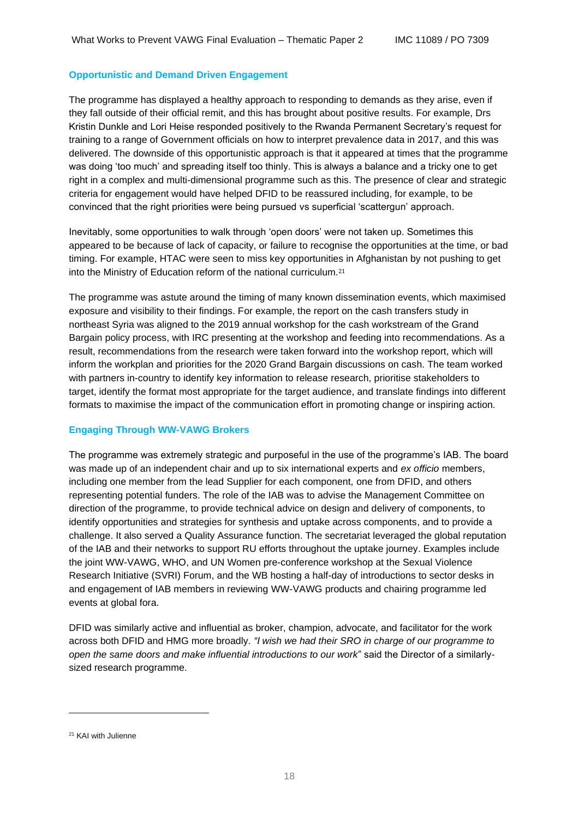#### **Opportunistic and Demand Driven Engagement**

The programme has displayed a healthy approach to responding to demands as they arise, even if they fall outside of their official remit, and this has brought about positive results. For example, Drs Kristin Dunkle and Lori Heise responded positively to the Rwanda Permanent Secretary's request for training to a range of Government officials on how to interpret prevalence data in 2017, and this was delivered. The downside of this opportunistic approach is that it appeared at times that the programme was doing 'too much' and spreading itself too thinly. This is always a balance and a tricky one to get right in a complex and multi-dimensional programme such as this. The presence of clear and strategic criteria for engagement would have helped DFID to be reassured including, for example, to be convinced that the right priorities were being pursued vs superficial 'scattergun' approach.

Inevitably, some opportunities to walk through 'open doors' were not taken up. Sometimes this appeared to be because of lack of capacity, or failure to recognise the opportunities at the time, or bad timing. For example, HTAC were seen to miss key opportunities in Afghanistan by not pushing to get into the Ministry of Education reform of the national curriculum.<sup>21</sup>

The programme was astute around the timing of many known dissemination events, which maximised exposure and visibility to their findings. For example, the report on the cash transfers study in northeast Syria was aligned to the 2019 annual workshop for the cash workstream of the Grand Bargain policy process, with IRC presenting at the workshop and feeding into recommendations. As a result, recommendations from the research were taken forward into the workshop report, which will inform the workplan and priorities for the 2020 Grand Bargain discussions on cash. The team worked with partners in-country to identify key information to release research, prioritise stakeholders to target, identify the format most appropriate for the target audience, and translate findings into different formats to maximise the impact of the communication effort in promoting change or inspiring action.

#### **Engaging Through WW-VAWG Brokers**

The programme was extremely strategic and purposeful in the use of the programme's IAB. The board was made up of an independent chair and up to six international experts and *ex officio* members, including one member from the lead Supplier for each component, one from DFID, and others representing potential funders. The role of the IAB was to advise the Management Committee on direction of the programme, to provide technical advice on design and delivery of components, to identify opportunities and strategies for synthesis and uptake across components, and to provide a challenge. It also served a Quality Assurance function. The secretariat leveraged the global reputation of the IAB and their networks to support RU efforts throughout the uptake journey. Examples include the joint WW-VAWG, WHO, and UN Women pre-conference workshop at the Sexual Violence Research Initiative (SVRI) Forum, and the WB hosting a half-day of introductions to sector desks in and engagement of IAB members in reviewing WW-VAWG products and chairing programme led events at global fora.

DFID was similarly active and influential as broker, champion, advocate, and facilitator for the work across both DFID and HMG more broadly*. "I wish we had their SRO in charge of our programme to open the same doors and make influential introductions to our work*" said the Director of a similarlysized research programme.

<sup>&</sup>lt;sup>21</sup> KAI with Julienne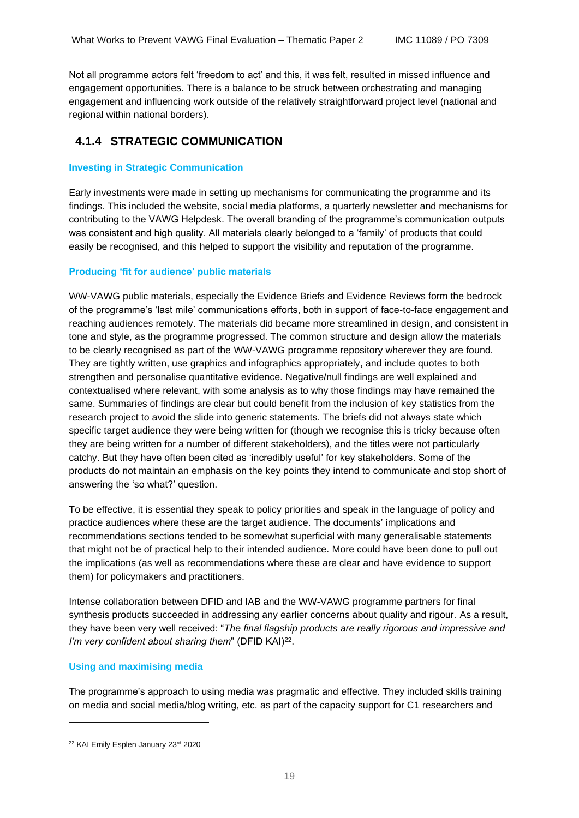Not all programme actors felt 'freedom to act' and this, it was felt, resulted in missed influence and engagement opportunities. There is a balance to be struck between orchestrating and managing engagement and influencing work outside of the relatively straightforward project level (national and regional within national borders).

### **4.1.4 STRATEGIC COMMUNICATION**

#### **Investing in Strategic Communication**

Early investments were made in setting up mechanisms for communicating the programme and its findings. This included the website, social media platforms, a quarterly newsletter and mechanisms for contributing to the VAWG Helpdesk. The overall branding of the programme's communication outputs was consistent and high quality. All materials clearly belonged to a 'family' of products that could easily be recognised, and this helped to support the visibility and reputation of the programme.

#### **Producing 'fit for audience' public materials**

WW-VAWG public materials, especially the Evidence Briefs and Evidence Reviews form the bedrock of the programme's 'last mile' communications efforts, both in support of face-to-face engagement and reaching audiences remotely. The materials did became more streamlined in design, and consistent in tone and style, as the programme progressed. The common structure and design allow the materials to be clearly recognised as part of the WW-VAWG programme repository wherever they are found. They are tightly written, use graphics and infographics appropriately, and include quotes to both strengthen and personalise quantitative evidence. Negative/null findings are well explained and contextualised where relevant, with some analysis as to why those findings may have remained the same. Summaries of findings are clear but could benefit from the inclusion of key statistics from the research project to avoid the slide into generic statements. The briefs did not always state which specific target audience they were being written for (though we recognise this is tricky because often they are being written for a number of different stakeholders), and the titles were not particularly catchy. But they have often been cited as 'incredibly useful' for key stakeholders. Some of the products do not maintain an emphasis on the key points they intend to communicate and stop short of answering the 'so what?' question.

To be effective, it is essential they speak to policy priorities and speak in the language of policy and practice audiences where these are the target audience. The documents' implications and recommendations sections tended to be somewhat superficial with many generalisable statements that might not be of practical help to their intended audience. More could have been done to pull out the implications (as well as recommendations where these are clear and have evidence to support them) for policymakers and practitioners.

Intense collaboration between DFID and IAB and the WW-VAWG programme partners for final synthesis products succeeded in addressing any earlier concerns about quality and rigour. As a result, they have been very well received: "*The final flagship products are really rigorous and impressive and*  I'm very confident about sharing them" (DFID KAI)<sup>22</sup>.

#### **Using and maximising media**

The programme's approach to using media was pragmatic and effective. They included skills training on media and social media/blog writing, etc. as part of the capacity support for C1 researchers and

<sup>&</sup>lt;sup>22</sup> KAI Emily Esplen January 23<sup>rd</sup> 2020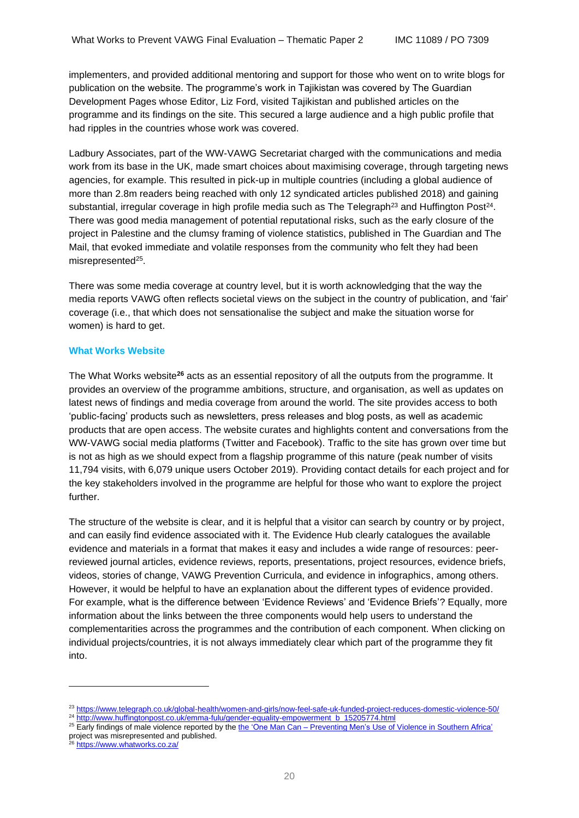implementers, and provided additional mentoring and support for those who went on to write blogs for publication on the website. The programme's work in Tajikistan was covered by The Guardian Development Pages whose Editor, Liz Ford, visited Tajikistan and published articles on the programme and its findings on the site. This secured a large audience and a high public profile that had ripples in the countries whose work was covered.

Ladbury Associates, part of the WW-VAWG Secretariat charged with the communications and media work from its base in the UK, made smart choices about maximising coverage, through targeting news agencies, for example. This resulted in pick-up in multiple countries (including a global audience of more than 2.8m readers being reached with only 12 syndicated articles published 2018) and gaining substantial, irregular coverage in high profile media such as The Telegraph<sup>23</sup> and Huffington Post<sup>24</sup>. There was good media management of potential reputational risks, such as the early closure of the project in Palestine and the clumsy framing of violence statistics, published in The Guardian and The Mail, that evoked immediate and volatile responses from the community who felt they had been misrepresented<sup>25</sup>.

There was some media coverage at country level, but it is worth acknowledging that the way the media reports VAWG often reflects societal views on the subject in the country of publication, and 'fair' coverage (i.e., that which does not sensationalise the subject and make the situation worse for women) is hard to get.

#### **What Works Website**

The What Works website**<sup>26</sup>** acts as an essential repository of all the outputs from the programme. It provides an overview of the programme ambitions, structure, and organisation, as well as updates on latest news of findings and media coverage from around the world. The site provides access to both 'public-facing' products such as newsletters, press releases and blog posts, as well as academic products that are open access. The website curates and highlights content and conversations from the WW-VAWG social media platforms (Twitter and Facebook). Traffic to the site has grown over time but is not as high as we should expect from a flagship programme of this nature (peak number of visits 11,794 visits, with 6,079 unique users October 2019). Providing contact details for each project and for the key stakeholders involved in the programme are helpful for those who want to explore the project further.

The structure of the website is clear, and it is helpful that a visitor can search by country or by project, and can easily find evidence associated with it. The Evidence Hub clearly catalogues the available evidence and materials in a format that makes it easy and includes a wide range of resources: peerreviewed journal articles, evidence reviews, reports, presentations, project resources, evidence briefs, videos, stories of change, VAWG Prevention Curricula, and evidence in infographics, among others. However, it would be helpful to have an explanation about the different types of evidence provided. For example, what is the difference between 'Evidence Reviews' and 'Evidence Briefs'? Equally, more information about the links between the three components would help users to understand the complementarities across the programmes and the contribution of each component. When clicking on individual projects/countries, it is not always immediately clear which part of the programme they fit into.

project was misrepresented and published.

<sup>23</sup> <https://www.telegraph.co.uk/global-health/women-and-girls/now-feel-safe-uk-funded-project-reduces-domestic-violence-50/> <sup>24</sup> [http://www.huffingtonpost.co.uk/emma-fulu/gender-equality-empowerment\\_b\\_15205774.html](http://www.huffingtonpost.co.uk/emma-fulu/gender-equality-empowerment_b_15205774.html)

<sup>&</sup>lt;sup>25</sup> Early findings of male violence reported by the the 'One Man Can – [Preventing](https://www.whatworks.co.za/global-programme-projects/sonke-gender-justice-south-africa) Men's Use of Violence in Southern Africa'

<sup>&</sup>lt;sup>26</sup> <https://www.whatworks.co.za/>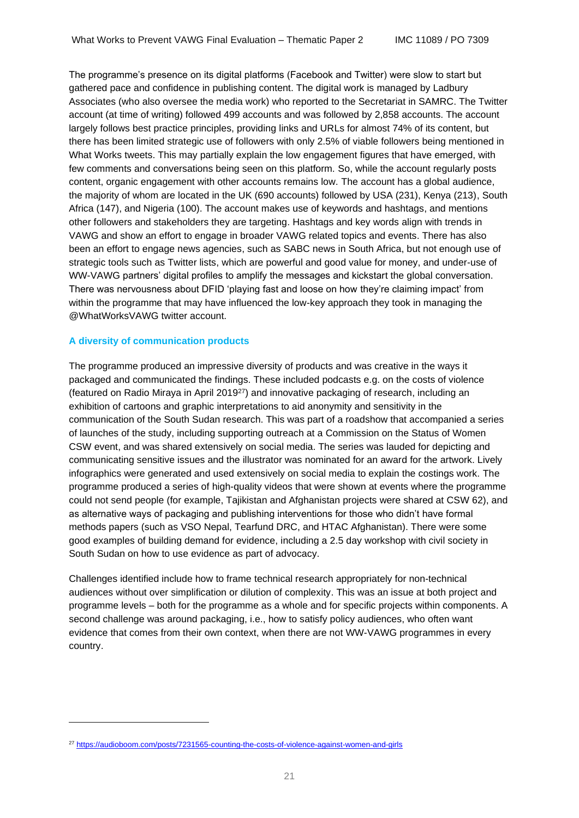The programme's presence on its digital platforms (Facebook and Twitter) were slow to start but gathered pace and confidence in publishing content. The digital work is managed by Ladbury Associates (who also oversee the media work) who reported to the Secretariat in SAMRC. The Twitter account (at time of writing) followed 499 accounts and was followed by 2,858 accounts. The account largely follows best practice principles, providing links and URLs for almost 74% of its content, but there has been limited strategic use of followers with only 2.5% of viable followers being mentioned in What Works tweets. This may partially explain the low engagement figures that have emerged, with few comments and conversations being seen on this platform. So, while the account regularly posts content, organic engagement with other accounts remains low. The account has a global audience, the majority of whom are located in the UK (690 accounts) followed by USA (231), Kenya (213), South Africa (147), and Nigeria (100). The account makes use of keywords and hashtags, and mentions other followers and stakeholders they are targeting. Hashtags and key words align with trends in VAWG and show an effort to engage in broader VAWG related topics and events. There has also been an effort to engage news agencies, such as SABC news in South Africa, but not enough use of strategic tools such as Twitter lists, which are powerful and good value for money, and under-use of WW-VAWG partners' digital profiles to amplify the messages and kickstart the global conversation. There was nervousness about DFID 'playing fast and loose on how they're claiming impact' from within the programme that may have influenced the low-key approach they took in managing the @WhatWorksVAWG twitter account.

#### **A diversity of communication products**

The programme produced an impressive diversity of products and was creative in the ways it packaged and communicated the findings. These included podcasts e.g. on the costs of violence (featured on Radio Miraya in April 2019<sup>27</sup>) and innovative packaging of research, including an exhibition of cartoons and graphic interpretations to aid anonymity and sensitivity in the communication of the South Sudan research. This was part of a roadshow that accompanied a series of launches of the study, including supporting outreach at a Commission on the Status of Women CSW event, and was shared extensively on social media. The series was lauded for depicting and communicating sensitive issues and the illustrator was nominated for an award for the artwork. Lively infographics were generated and used extensively on social media to explain the costings work. The programme produced a series of high-quality videos that were shown at events where the programme could not send people (for example, Tajikistan and Afghanistan projects were shared at CSW 62), and as alternative ways of packaging and publishing interventions for those who didn't have formal methods papers (such as VSO Nepal, Tearfund DRC, and HTAC Afghanistan). There were some good examples of building demand for evidence, including a 2.5 day workshop with civil society in South Sudan on how to use evidence as part of advocacy.

Challenges identified include how to frame technical research appropriately for non-technical audiences without over simplification or dilution of complexity. This was an issue at both project and programme levels – both for the programme as a whole and for specific projects within components. A second challenge was around packaging, i.e., how to satisfy policy audiences, who often want evidence that comes from their own context, when there are not WW-VAWG programmes in every country.

<sup>27</sup> <https://audioboom.com/posts/7231565-counting-the-costs-of-violence-against-women-and-girls>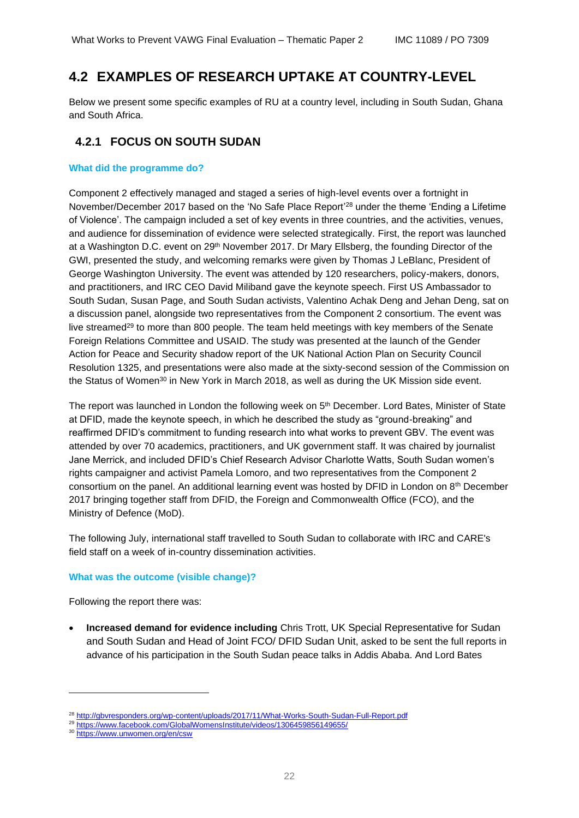## <span id="page-21-0"></span>**4.2 EXAMPLES OF RESEARCH UPTAKE AT COUNTRY-LEVEL**

Below we present some specific examples of RU at a country level, including in South Sudan, Ghana and South Africa.

### **4.2.1 FOCUS ON SOUTH SUDAN**

#### **What did the programme do?**

Component 2 effectively managed and staged a series of high-level events over a fortnight in November/December 2017 based on the 'No Safe Place Report'<sup>28</sup> under the theme 'Ending a Lifetime of Violence'. The campaign included a set of key events in three countries, and the activities, venues, and audience for dissemination of evidence were selected strategically. First, the report was launched at a Washington D.C. event on 29<sup>th</sup> November 2017. Dr Mary Ellsberg, the founding Director of the GWI, presented the study, and welcoming remarks were given by Thomas J LeBlanc, President of George Washington University. The event was attended by 120 researchers, policy-makers, donors, and practitioners, and IRC CEO David Miliband gave the keynote speech. First US Ambassador to South Sudan, Susan Page, and South Sudan activists, Valentino Achak Deng and Jehan Deng, sat on a discussion panel, alongside two representatives from the Component 2 consortium. The event was [live streamed](https://www.facebook.com/GlobalWomensInstitute/videos/1306459856149655/)<sup>29</sup> to more than 800 people. The team held meetings with key members of the Senate Foreign Relations Committee and USAID. The study was presented at the launch of the Gender Action for Peace and Security shadow report of the UK National Action Plan on Security Council Resolution 1325, and presentations were also made at the sixty-second session of the Commission on the Status of Women<sup>30</sup> in New York in March 2018, as well as during the UK Mission side event.

The report was launched in London the following week on 5<sup>th</sup> December. Lord Bates, Minister of State at DFID, made the keynote speech, in which he described the study as "ground-breaking" and reaffirmed DFID's commitment to funding research into what works to prevent GBV. The event was attended by over 70 academics, practitioners, and UK government staff. It was chaired by journalist Jane Merrick, and included DFID's Chief Research Advisor Charlotte Watts, South Sudan women's rights campaigner and activist Pamela Lomoro, and two representatives from the Component 2 consortium on the panel. An additional learning event was hosted by DFID in London on 8th December 2017 bringing together staff from DFID, the Foreign and Commonwealth Office (FCO), and the Ministry of Defence (MoD).

The following July, international staff travelled to South Sudan to collaborate with IRC and CARE's field staff on a week of in-country dissemination activities.

#### **What was the outcome (visible change)?**

Following the report there was:

• **Increased demand for evidence including** Chris Trott, UK Special Representative for Sudan and South Sudan and Head of Joint FCO/ DFID Sudan Unit, asked to be sent the full reports in advance of his participation in the South Sudan peace talks in Addis Ababa. And Lord Bates

<sup>&</sup>lt;sup>28</sup> <http://gbvresponders.org/wp-content/uploads/2017/11/What-Works-South-Sudan-Full-Report.pdf>

<sup>29</sup> <https://www.facebook.com/GlobalWomensInstitute/videos/1306459856149655/>

<sup>30</sup> <https://www.unwomen.org/en/csw>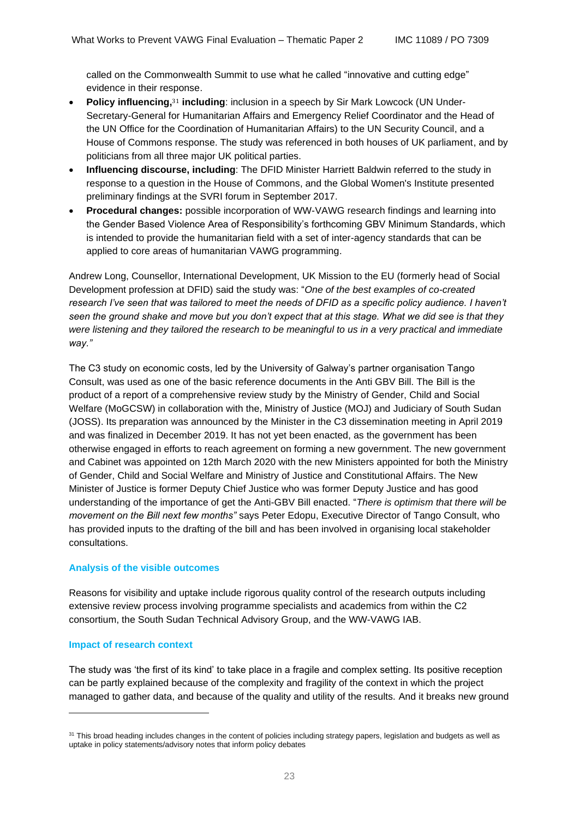called on the Commonwealth Summit to use what he called "innovative and cutting edge" evidence in their response.

- **Policy influencing,**<sup>31</sup> including: inclusion in a speech by Sir Mark Lowcock (UN Under-Secretary-General for Humanitarian Affairs and Emergency Relief Coordinator and the Head of the UN Office for the Coordination of Humanitarian Affairs) to the UN Security Council, and a House of Commons response. The study was referenced in both houses of UK parliament, and by politicians from all three major UK political parties.
- **Influencing discourse, including**: The DFID Minister Harriett Baldwin referred to the study in response to a question in the House of Commons, and the Global Women's Institute presented preliminary findings at the SVRI forum in September 2017.
- **Procedural changes:** possible incorporation of WW-VAWG research findings and learning into the Gender Based Violence Area of Responsibility's forthcoming GBV Minimum Standards, which is intended to provide the humanitarian field with a set of inter-agency standards that can be applied to core areas of humanitarian VAWG programming.

Andrew Long, Counsellor, International Development, UK Mission to the EU (formerly head of Social Development profession at DFID) said the study was: "*One of the best examples of co-created research I've seen that was tailored to meet the needs of DFID as a specific policy audience. I haven't seen the ground shake and move but you don't expect that at this stage. What we did see is that they were listening and they tailored the research to be meaningful to us in a very practical and immediate way."* 

The C3 study on economic costs, led by the University of Galway's partner organisation Tango Consult, was used as one of the basic reference documents in the Anti GBV Bill. The Bill is the product of a report of a comprehensive review study by the Ministry of Gender, Child and Social Welfare (MoGCSW) in collaboration with the, Ministry of Justice (MOJ) and Judiciary of South Sudan (JOSS). Its preparation was announced by the Minister in the C3 dissemination meeting in April 2019 and was finalized in December 2019. It has not yet been enacted, as the government has been otherwise engaged in efforts to reach agreement on forming a new government. The new government and Cabinet was appointed on 12th March 2020 with the new Ministers appointed for both the Ministry of Gender, Child and Social Welfare and Ministry of Justice and Constitutional Affairs. The New Minister of Justice is former Deputy Chief Justice who was former Deputy Justice and has good understanding of the importance of get the Anti-GBV Bill enacted. "*There is optimism that there will be movement on the Bill next few months"* says Peter Edopu, Executive Director of Tango Consult, who has provided inputs to the drafting of the bill and has been involved in organising local stakeholder consultations.

#### **Analysis of the visible outcomes**

Reasons for visibility and uptake include rigorous quality control of the research outputs including extensive review process involving programme specialists and academics from within the C2 consortium, the South Sudan Technical Advisory Group, and the WW-VAWG IAB.

#### **Impact of research context**

The study was 'the first of its kind' to take place in a fragile and complex setting. Its positive reception can be partly explained because of the complexity and fragility of the context in which the project managed to gather data, and because of the quality and utility of the results. And it breaks new ground

<sup>&</sup>lt;sup>31</sup> This broad heading includes changes in the content of policies including strategy papers, legislation and budgets as well as uptake in policy statements/advisory notes that inform policy debates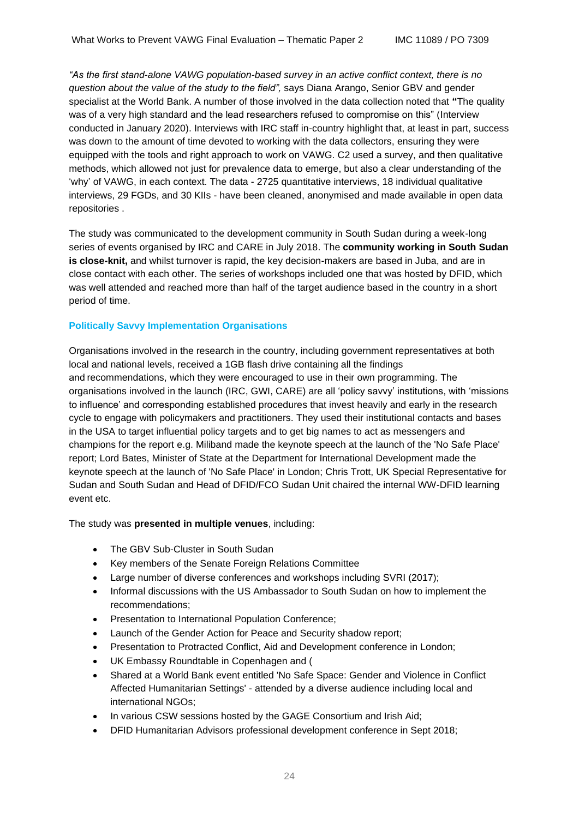*"As the first stand-alone VAWG population-based survey in an active conflict context, there is no question about the value of the study to the field",* says Diana Arango, Senior GBV and gender specialist at the World Bank. A number of those involved in the data collection noted that **"**The quality was of a very high standard and the lead researchers refused to compromise on this" (Interview conducted in January 2020). Interviews with IRC staff in-country highlight that, at least in part, success was down to the amount of time devoted to working with the data collectors, ensuring they were equipped with the tools and right approach to work on VAWG. C2 used a survey, and then qualitative methods, which allowed not just for prevalence data to emerge, but also a clear understanding of the 'why' of VAWG, in each context. The data - 2725 quantitative interviews, 18 individual qualitative interviews, 29 FGDs, and 30 KIIs - have been cleaned, anonymised and made available in open data repositories .

The study was communicated to the development community in South Sudan during a week-long series of events organised by IRC and CARE in July 2018. The **community working in South Sudan is close-knit,** and whilst turnover is rapid, the key decision-makers are based in Juba, and are in close contact with each other. The series of workshops included one that was hosted by DFID, which was well attended and reached more than half of the target audience based in the country in a short period of time.

#### **Politically Savvy Implementation Organisations**

Organisations involved in the research in the country, including government representatives at both local and national levels, received a 1GB flash drive containing all the findings and recommendations, which they were encouraged to use in their own programming. The organisations involved in the launch (IRC, GWI, CARE) are all 'policy savvy' institutions, with 'missions to influence' and corresponding established procedures that invest heavily and early in the research cycle to engage with policymakers and practitioners. They used their institutional contacts and bases in the USA to target influential policy targets and to get big names to act as messengers and champions for the report e.g. Miliband made the keynote speech at the launch of the 'No Safe Place' report; Lord Bates, Minister of State at the Department for International Development made the keynote speech at the launch of 'No Safe Place' in London; Chris Trott, UK Special Representative for Sudan and South Sudan and Head of DFID/FCO Sudan Unit chaired the internal WW-DFID learning event etc.

The study was **presented in multiple venues**, including:

- The GBV Sub-Cluster in South Sudan
- Key members of the Senate Foreign Relations Committee
- Large number of diverse conferences and workshops including SVRI (2017);
- Informal discussions with the US Ambassador to South Sudan on how to implement the recommendations;
- Presentation to International Population Conference;
- Launch of the Gender Action for Peace and Security shadow report;
- Presentation to Protracted Conflict, Aid and Development conference in London;
- UK Embassy Roundtable in Copenhagen and (
- Shared at a World Bank event entitled 'No Safe Space: Gender and Violence in Conflict Affected Humanitarian Settings' - attended by a diverse audience including local and international NGOs;
- In various CSW sessions hosted by the GAGE Consortium and Irish Aid;
- DFID Humanitarian Advisors professional development conference in Sept 2018;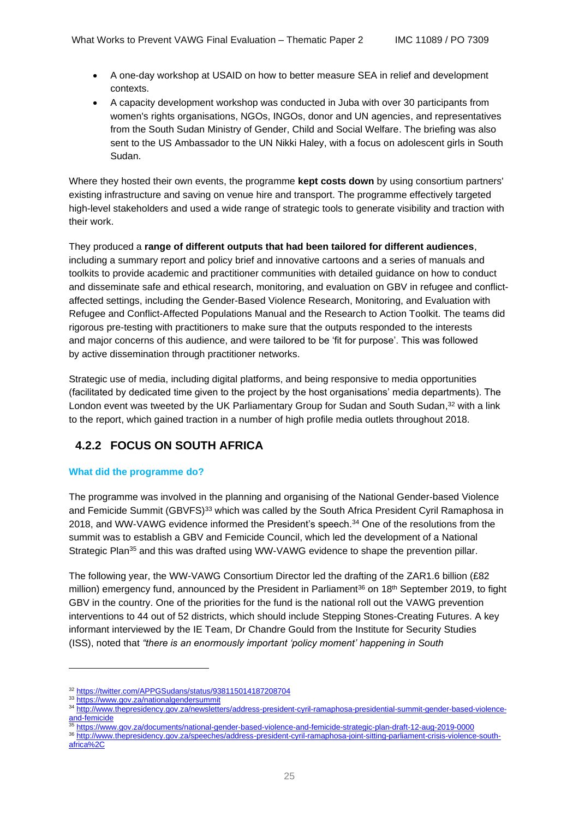- A one-day workshop at USAID on how to better measure SEA in relief and development contexts.
- A capacity development workshop was conducted in Juba with over 30 participants from women's rights organisations, NGOs, INGOs, donor and UN agencies, and representatives from the South Sudan Ministry of Gender, Child and Social Welfare. The briefing was also sent to the US Ambassador to the UN Nikki Haley, with a focus on adolescent girls in South Sudan.

Where they hosted their own events, the programme **kept costs down** by using consortium partners' existing infrastructure and saving on venue hire and transport. The programme effectively targeted high-level stakeholders and used a wide range of strategic tools to generate visibility and traction with their work.

They produced a **range of different outputs that had been tailored for different audiences**, including a summary report and policy brief and innovative cartoons and a series of manuals and toolkits to provide academic and practitioner communities with detailed guidance on how to conduct and disseminate safe and ethical research, monitoring, and evaluation on GBV in refugee and conflictaffected settings, including the Gender-Based Violence Research, Monitoring, and Evaluation with Refugee and Conflict-Affected Populations Manual and the Research to Action Toolkit. The teams did rigorous pre-testing with practitioners to make sure that the outputs responded to the interests and major concerns of this audience, and were tailored to be 'fit for purpose'. This was followed by active dissemination through practitioner networks.

Strategic use of media, including digital platforms, and being responsive to media opportunities (facilitated by dedicated time given to the project by the host organisations' media departments). The London event was tweeted by the UK Parliamentary Group for Sudan and South Sudan,<sup>32</sup> with a link to the report, which gained traction in a number of high profile media outlets throughout 2018.

## **4.2.2 FOCUS ON SOUTH AFRICA**

### **What did the programme do?**

The programme was involved in the planning and organising of the National Gender-based Violence and Femicide Summit (GBVFS)<sup>33</sup> which was called by the South Africa President Cyril Ramaphosa in 2018, and WW-VAWG evidence informed the President's speech. <sup>34</sup> One of the resolutions from the summit was to establish a GBV and Femicide Council, which led the development of a National Strategic Plan<sup>35</sup> and this was drafted using WW-VAWG evidence to shape the prevention pillar.

The following year, the WW-VAWG Consortium Director led the drafting of the ZAR1.6 billion (£82 million) emergency fund, announced by the President in Parliament<sup>36</sup> on 18<sup>th</sup> September 2019, to fight GBV in the country. One of the priorities for the fund is the national roll out the VAWG prevention interventions to 44 out of 52 districts, which should include Stepping Stones-Creating Futures. A key informant interviewed by the IE Team, Dr Chandre Gould from the Institute for Security Studies (ISS), noted that *"there is an enormously important 'policy moment' happening in South* 

- <sup>35</sup> <https://www.gov.za/documents/national-gender-based-violence-and-femicide-strategic-plan-draft-12-aug-2019-0000>
- <sup>36</sup> [http://www.thepresidency.gov.za/speeches/address-president-cyril-ramaphosa-joint-sitting-parliament-crisis-violence-south](http://www.thepresidency.gov.za/speeches/address-president-cyril-ramaphosa-joint-sitting-parliament-crisis-violence-south-africa%2C)[africa%2C](http://www.thepresidency.gov.za/speeches/address-president-cyril-ramaphosa-joint-sitting-parliament-crisis-violence-south-africa%2C)

<sup>32</sup> <https://twitter.com/APPGSudans/status/938115014187208704>

<sup>33</sup> <https://www.gov.za/nationalgendersummit>

<sup>34</sup> [http://www.thepresidency.gov.za/newsletters/address-president-cyril-ramaphosa-presidential-summit-gender-based-violence](http://www.thepresidency.gov.za/newsletters/address-president-cyril-ramaphosa-presidential-summit-gender-based-violence-and-femicide)[and-femicide](http://www.thepresidency.gov.za/newsletters/address-president-cyril-ramaphosa-presidential-summit-gender-based-violence-and-femicide)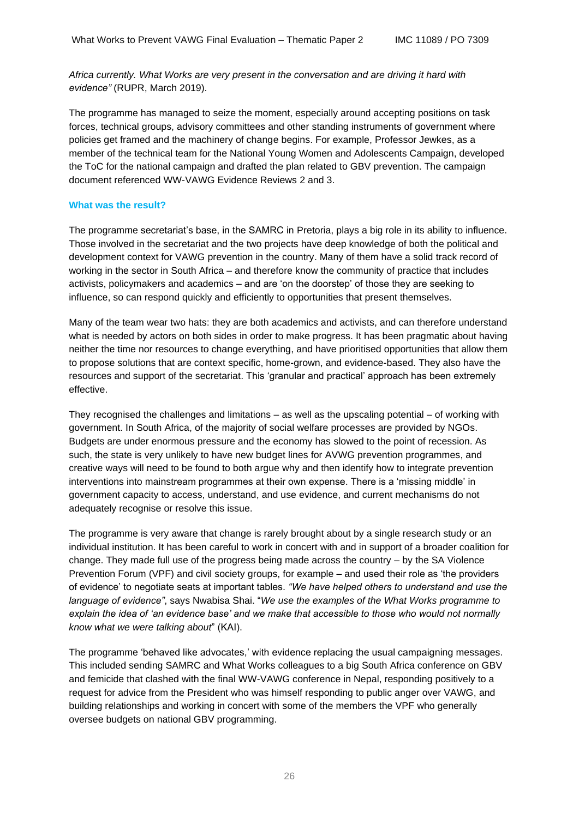*Africa currently. What Works are very present in the conversation and are driving it hard with evidence"* (RUPR, March 2019).

The programme has managed to seize the moment, especially around accepting positions on task forces, technical groups, advisory committees and other standing instruments of government where policies get framed and the machinery of change begins. For example, Professor Jewkes, as a member of the technical team for the National Young Women and Adolescents Campaign, developed the ToC for the national campaign and drafted the plan related to GBV prevention. The campaign document referenced WW-VAWG Evidence Reviews 2 and 3.

#### **What was the result?**

The programme secretariat's base, in the SAMRC in Pretoria, plays a big role in its ability to influence. Those involved in the secretariat and the two projects have deep knowledge of both the political and development context for VAWG prevention in the country. Many of them have a solid track record of working in the sector in South Africa – and therefore know the community of practice that includes activists, policymakers and academics – and are 'on the doorstep' of those they are seeking to influence, so can respond quickly and efficiently to opportunities that present themselves.

Many of the team wear two hats: they are both academics and activists, and can therefore understand what is needed by actors on both sides in order to make progress. It has been pragmatic about having neither the time nor resources to change everything, and have prioritised opportunities that allow them to propose solutions that are context specific, home-grown, and evidence-based. They also have the resources and support of the secretariat. This 'granular and practical' approach has been extremely effective.

They recognised the challenges and limitations – as well as the upscaling potential – of working with government. In South Africa, of the majority of social welfare processes are provided by NGOs. Budgets are under enormous pressure and the economy has slowed to the point of recession. As such, the state is very unlikely to have new budget lines for AVWG prevention programmes, and creative ways will need to be found to both argue why and then identify how to integrate prevention interventions into mainstream programmes at their own expense. There is a 'missing middle' in government capacity to access, understand, and use evidence, and current mechanisms do not adequately recognise or resolve this issue.

The programme is very aware that change is rarely brought about by a single research study or an individual institution. It has been careful to work in concert with and in support of a broader coalition for change. They made full use of the progress being made across the country – by the SA Violence Prevention Forum (VPF) and civil society groups, for example – and used their role as 'the providers of evidence' to negotiate seats at important tables. *"We have helped others to understand and use the language of evidence"*, says Nwabisa Shai. "*We use the examples of the What Works programme to explain the idea of 'an evidence base' and we make that accessible to those who would not normally know what we were talking about*" (KAI).

The programme 'behaved like advocates,' with evidence replacing the usual campaigning messages. This included sending SAMRC and What Works colleagues to a big South Africa conference on GBV and femicide that clashed with the final WW-VAWG conference in Nepal, responding positively to a request for advice from the President who was himself responding to public anger over VAWG, and building relationships and working in concert with some of the members the VPF who generally oversee budgets on national GBV programming.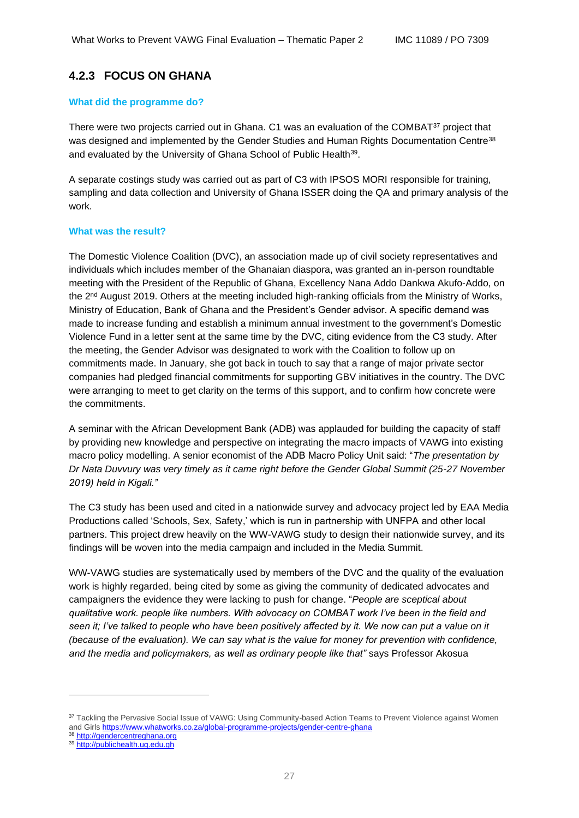### **4.2.3 FOCUS ON GHANA**

#### **What did the programme do?**

There were two projects carried out in Ghana. C1 was an evaluation of the COMBAT<sup>37</sup> project that was designed and implemented by the Gender Studies and Human Rights Documentation Centre<sup>38</sup> and evaluated by the University of Ghana School of Public Health<sup>39</sup>.

A separate costings study was carried out as part of C3 with IPSOS MORI responsible for training, sampling and data collection and University of Ghana ISSER doing the QA and primary analysis of the work.

#### **What was the result?**

The Domestic Violence Coalition (DVC), an association made up of civil society representatives and individuals which includes member of the Ghanaian diaspora, was granted an in-person roundtable meeting with the President of the Republic of Ghana, Excellency Nana Addo Dankwa Akufo-Addo, on the 2<sup>nd</sup> August 2019. Others at the meeting included high-ranking officials from the Ministry of Works, Ministry of Education, Bank of Ghana and the President's Gender advisor. A specific demand was made to increase funding and establish a minimum annual investment to the government's Domestic Violence Fund in a letter sent at the same time by the DVC, citing evidence from the C3 study. After the meeting, the Gender Advisor was designated to work with the Coalition to follow up on commitments made. In January, she got back in touch to say that a range of major private sector companies had pledged financial commitments for supporting GBV initiatives in the country. The DVC were arranging to meet to get clarity on the terms of this support, and to confirm how concrete were the commitments.

A seminar with the African Development Bank (ADB) was applauded for building the capacity of staff by providing new knowledge and perspective on integrating the macro impacts of VAWG into existing macro policy modelling. A senior economist of the ADB Macro Policy Unit said: "*The presentation by Dr Nata Duvvury was very timely as it came right before the Gender Global Summit (25-27 November 2019) held in Kigali."*

The C3 study has been used and cited in a nationwide survey and advocacy project led by EAA Media Productions called 'Schools, Sex, Safety,' which is run in partnership with UNFPA and other local partners. This project drew heavily on the WW-VAWG study to design their nationwide survey, and its findings will be woven into the media campaign and included in the Media Summit.

WW-VAWG studies are systematically used by members of the DVC and the quality of the evaluation work is highly regarded, being cited by some as giving the community of dedicated advocates and campaigners the evidence they were lacking to push for change. "*People are sceptical about qualitative work. people like numbers. With advocacy on COMBAT work I've been in the field and seen it; I've talked to people who have been positively affected by it. We now can put a value on it (because of the evaluation). We can say what is the value for money for prevention with confidence, and the media and policymakers, as well as ordinary people like that"* says Professor Akosua

<sup>&</sup>lt;sup>37</sup> Tackling the Pervasive Social Issue of VAWG: Using Community-based Action Teams to Prevent Violence against Women [and Girls](https://www.whatworks.co.za/global-programme-projects/gender-centre-ghana) <https://www.whatworks.co.za/global-programme-projects/gender-centre-ghana>

<sup>38</sup> [http://gendercentreghana.org](http://gendercentreghana.org/)

<sup>39</sup> [http://publichealth.ug.edu.gh](http://publichealth.ug.edu.gh/)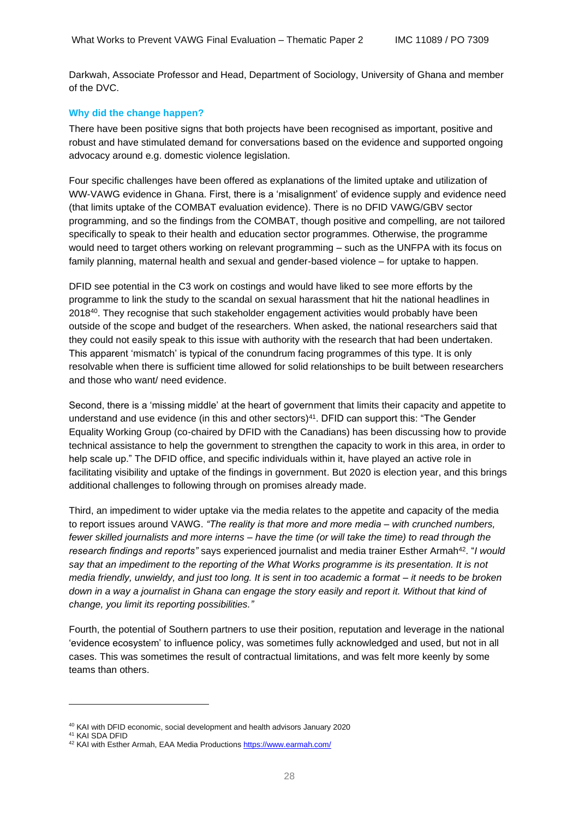Darkwah, Associate Professor and Head, Department of Sociology, University of Ghana and member of the DVC.

#### **Why did the change happen?**

There have been positive signs that both projects have been recognised as important, positive and robust and have stimulated demand for conversations based on the evidence and supported ongoing advocacy around e.g. domestic violence legislation.

Four specific challenges have been offered as explanations of the limited uptake and utilization of WW-VAWG evidence in Ghana. First, there is a 'misalignment' of evidence supply and evidence need (that limits uptake of the COMBAT evaluation evidence). There is no DFID VAWG/GBV sector programming, and so the findings from the COMBAT, though positive and compelling, are not tailored specifically to speak to their health and education sector programmes. Otherwise, the programme would need to target others working on relevant programming – such as the UNFPA with its focus on family planning, maternal health and sexual and gender-based violence – for uptake to happen.

DFID see potential in the C3 work on costings and would have liked to see more efforts by the programme to link the study to the scandal on sexual harassment that hit the national headlines in 2018<sup>40</sup>. They recognise that such stakeholder engagement activities would probably have been outside of the scope and budget of the researchers. When asked, the national researchers said that they could not easily speak to this issue with authority with the research that had been undertaken. This apparent 'mismatch' is typical of the conundrum facing programmes of this type. It is only resolvable when there is sufficient time allowed for solid relationships to be built between researchers and those who want/ need evidence.

Second, there is a 'missing middle' at the heart of government that limits their capacity and appetite to understand and use evidence (in this and other sectors)<sup>41</sup>. DFID can support this: "The Gender Equality Working Group (co-chaired by DFID with the Canadians) has been discussing how to provide technical assistance to help the government to strengthen the capacity to work in this area, in order to help scale up." The DFID office, and specific individuals within it, have played an active role in facilitating visibility and uptake of the findings in government. But 2020 is election year, and this brings additional challenges to following through on promises already made.

Third, an impediment to wider uptake via the media relates to the appetite and capacity of the media to report issues around VAWG. *"The reality is that more and more media – with crunched numbers, fewer skilled journalists and more interns – have the time (or will take the time) to read through the research findings and reports"* says experienced journalist and media trainer Esther Armah<sup>42</sup>. "*I would say that an impediment to the reporting of the What Works programme is its presentation. It is not media friendly, unwieldy, and just too long. It is sent in too academic a format – it needs to be broken down in a way a journalist in Ghana can engage the story easily and report it. Without that kind of change, you limit its reporting possibilities."*

Fourth, the potential of Southern partners to use their position, reputation and leverage in the national 'evidence ecosystem' to influence policy, was sometimes fully acknowledged and used, but not in all cases. This was sometimes the result of contractual limitations, and was felt more keenly by some teams than others.

<sup>40</sup> KAI with DFID economic, social development and health advisors January 2020

<sup>41</sup> KAI SDA DFID

<sup>42</sup> KAI with Esther Armah, EAA Media Productions <https://www.earmah.com/>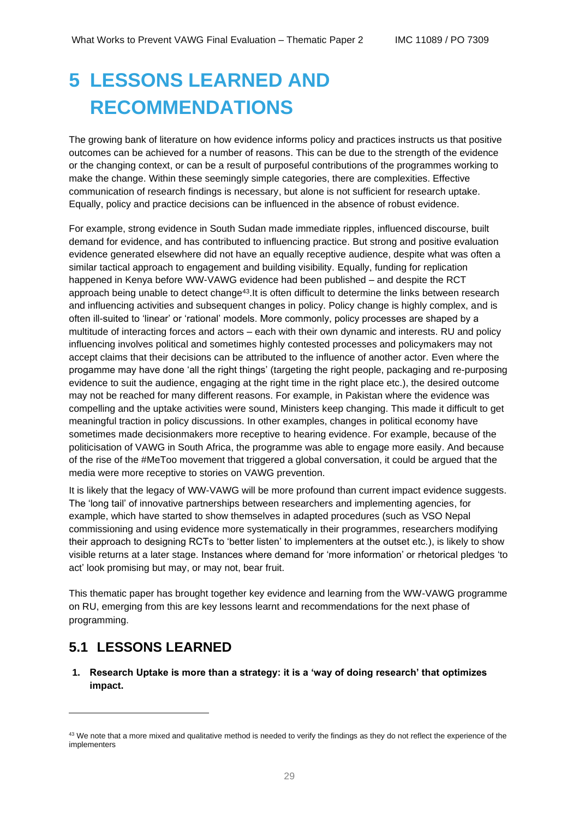# <span id="page-28-0"></span>**5 LESSONS LEARNED AND RECOMMENDATIONS**

The growing bank of literature on how evidence informs policy and practices instructs us that positive outcomes can be achieved for a number of reasons. This can be due to the strength of the evidence or the changing context, or can be a result of purposeful contributions of the programmes working to make the change. Within these seemingly simple categories, there are complexities. Effective communication of research findings is necessary, but alone is not sufficient for research uptake. Equally, policy and practice decisions can be influenced in the absence of robust evidence.

For example, strong evidence in South Sudan made immediate ripples, influenced discourse, built demand for evidence, and has contributed to influencing practice. But strong and positive evaluation evidence generated elsewhere did not have an equally receptive audience, despite what was often a similar tactical approach to engagement and building visibility. Equally, funding for replication happened in Kenya before WW-VAWG evidence had been published – and despite the RCT approach being unable to detect change<sup>43</sup>.It is often difficult to determine the links between research and influencing activities and subsequent changes in policy. Policy change is highly complex, and is often ill-suited to 'linear' or 'rational' models. More commonly, policy processes are shaped by a multitude of interacting forces and actors – each with their own dynamic and interests. RU and policy influencing involves political and sometimes highly contested processes and policymakers may not accept claims that their decisions can be attributed to the influence of another actor. Even where the progamme may have done 'all the right things' (targeting the right people, packaging and re-purposing evidence to suit the audience, engaging at the right time in the right place etc.), the desired outcome may not be reached for many different reasons. For example, in Pakistan where the evidence was compelling and the uptake activities were sound, Ministers keep changing. This made it difficult to get meaningful traction in policy discussions. In other examples, changes in political economy have sometimes made decisionmakers more receptive to hearing evidence. For example, because of the politicisation of VAWG in South Africa, the programme was able to engage more easily. And because of the rise of the #MeToo movement that triggered a global conversation, it could be argued that the media were more receptive to stories on VAWG prevention.

It is likely that the legacy of WW-VAWG will be more profound than current impact evidence suggests. The 'long tail' of innovative partnerships between researchers and implementing agencies, for example, which have started to show themselves in adapted procedures (such as VSO Nepal commissioning and using evidence more systematically in their programmes, researchers modifying their approach to designing RCTs to 'better listen' to implementers at the outset etc.), is likely to show visible returns at a later stage. Instances where demand for 'more information' or rhetorical pledges 'to act' look promising but may, or may not, bear fruit.

This thematic paper has brought together key evidence and learning from the WW-VAWG programme on RU, emerging from this are key lessons learnt and recommendations for the next phase of programming.

## <span id="page-28-1"></span>**5.1 LESSONS LEARNED**

**1. Research Uptake is more than a strategy: it is a 'way of doing research' that optimizes impact.**

<sup>&</sup>lt;sup>43</sup> We note that a more mixed and qualitative method is needed to verify the findings as they do not reflect the experience of the implementers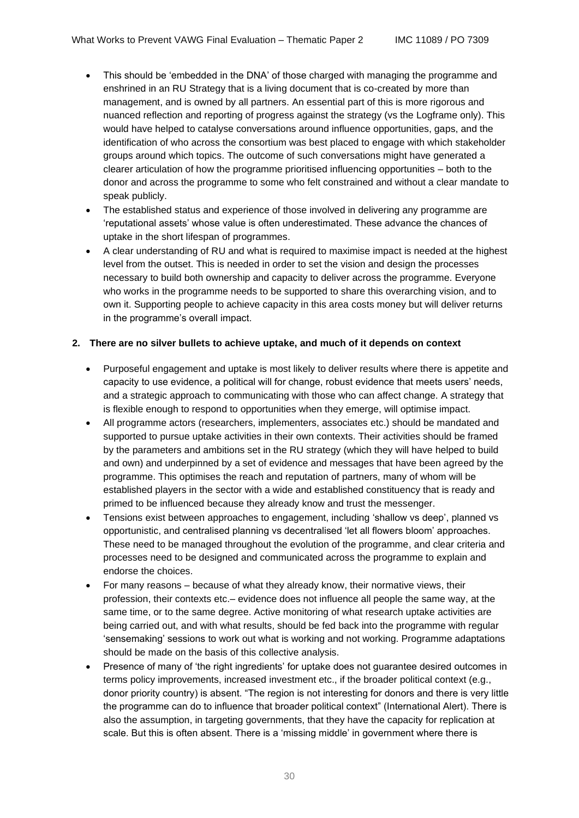- This should be 'embedded in the DNA' of those charged with managing the programme and enshrined in an RU Strategy that is a living document that is co-created by more than management, and is owned by all partners. An essential part of this is more rigorous and nuanced reflection and reporting of progress against the strategy (vs the Logframe only). This would have helped to catalyse conversations around influence opportunities, gaps, and the identification of who across the consortium was best placed to engage with which stakeholder groups around which topics. The outcome of such conversations might have generated a clearer articulation of how the programme prioritised influencing opportunities – both to the donor and across the programme to some who felt constrained and without a clear mandate to speak publicly.
- The established status and experience of those involved in delivering any programme are 'reputational assets' whose value is often underestimated. These advance the chances of uptake in the short lifespan of programmes.
- A clear understanding of RU and what is required to maximise impact is needed at the highest level from the outset. This is needed in order to set the vision and design the processes necessary to build both ownership and capacity to deliver across the programme. Everyone who works in the programme needs to be supported to share this overarching vision, and to own it. Supporting people to achieve capacity in this area costs money but will deliver returns in the programme's overall impact.

#### **2. There are no silver bullets to achieve uptake, and much of it depends on context**

- Purposeful engagement and uptake is most likely to deliver results where there is appetite and capacity to use evidence, a political will for change, robust evidence that meets users' needs, and a strategic approach to communicating with those who can affect change. A strategy that is flexible enough to respond to opportunities when they emerge, will optimise impact.
- All programme actors (researchers, implementers, associates etc.) should be mandated and supported to pursue uptake activities in their own contexts. Their activities should be framed by the parameters and ambitions set in the RU strategy (which they will have helped to build and own) and underpinned by a set of evidence and messages that have been agreed by the programme. This optimises the reach and reputation of partners, many of whom will be established players in the sector with a wide and established constituency that is ready and primed to be influenced because they already know and trust the messenger.
- Tensions exist between approaches to engagement, including 'shallow vs deep', planned vs opportunistic, and centralised planning vs decentralised 'let all flowers bloom' approaches. These need to be managed throughout the evolution of the programme, and clear criteria and processes need to be designed and communicated across the programme to explain and endorse the choices.
- For many reasons because of what they already know, their normative views, their profession, their contexts etc.– evidence does not influence all people the same way, at the same time, or to the same degree. Active monitoring of what research uptake activities are being carried out, and with what results, should be fed back into the programme with regular 'sensemaking' sessions to work out what is working and not working. Programme adaptations should be made on the basis of this collective analysis.
- Presence of many of 'the right ingredients' for uptake does not guarantee desired outcomes in terms policy improvements, increased investment etc., if the broader political context (e.g., donor priority country) is absent. "The region is not interesting for donors and there is very little the programme can do to influence that broader political context" (International Alert). There is also the assumption, in targeting governments, that they have the capacity for replication at scale. But this is often absent. There is a 'missing middle' in government where there is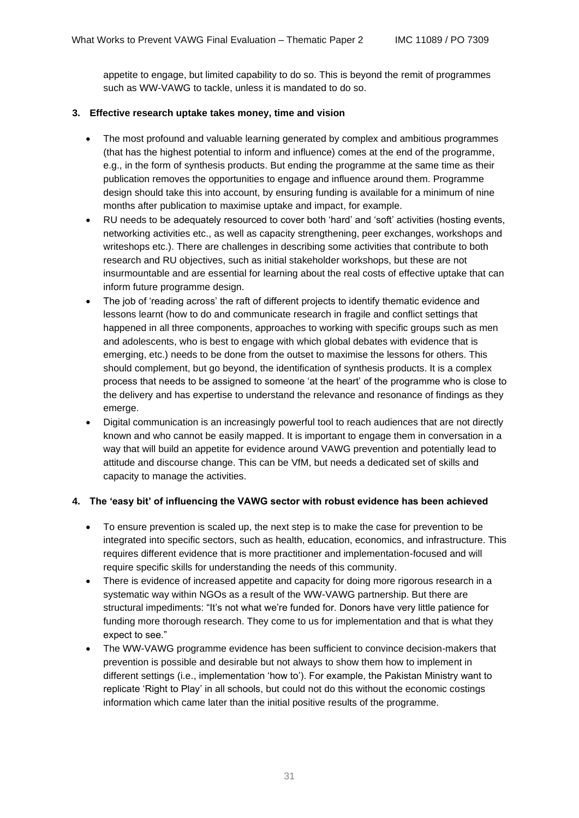appetite to engage, but limited capability to do so. This is beyond the remit of programmes such as WW-VAWG to tackle, unless it is mandated to do so.

#### **3. Effective research uptake takes money, time and vision**

- The most profound and valuable learning generated by complex and ambitious programmes (that has the highest potential to inform and influence) comes at the end of the programme, e.g., in the form of synthesis products. But ending the programme at the same time as their publication removes the opportunities to engage and influence around them. Programme design should take this into account, by ensuring funding is available for a minimum of nine months after publication to maximise uptake and impact, for example.
- RU needs to be adequately resourced to cover both 'hard' and 'soft' activities (hosting events, networking activities etc., as well as capacity strengthening, peer exchanges, workshops and writeshops etc.). There are challenges in describing some activities that contribute to both research and RU objectives, such as initial stakeholder workshops, but these are not insurmountable and are essential for learning about the real costs of effective uptake that can inform future programme design.
- The job of 'reading across' the raft of different projects to identify thematic evidence and lessons learnt (how to do and communicate research in fragile and conflict settings that happened in all three components, approaches to working with specific groups such as men and adolescents, who is best to engage with which global debates with evidence that is emerging, etc.) needs to be done from the outset to maximise the lessons for others. This should complement, but go beyond, the identification of synthesis products. It is a complex process that needs to be assigned to someone 'at the heart' of the programme who is close to the delivery and has expertise to understand the relevance and resonance of findings as they emerge.
- Digital communication is an increasingly powerful tool to reach audiences that are not directly known and who cannot be easily mapped. It is important to engage them in conversation in a way that will build an appetite for evidence around VAWG prevention and potentially lead to attitude and discourse change. This can be VfM, but needs a dedicated set of skills and capacity to manage the activities.

#### **4. The 'easy bit' of influencing the VAWG sector with robust evidence has been achieved**

- To ensure prevention is scaled up, the next step is to make the case for prevention to be integrated into specific sectors, such as health, education, economics, and infrastructure. This requires different evidence that is more practitioner and implementation-focused and will require specific skills for understanding the needs of this community.
- There is evidence of increased appetite and capacity for doing more rigorous research in a systematic way within NGOs as a result of the WW-VAWG partnership. But there are structural impediments: "It's not what we're funded for. Donors have very little patience for funding more thorough research. They come to us for implementation and that is what they expect to see."
- The WW-VAWG programme evidence has been sufficient to convince decision-makers that prevention is possible and desirable but not always to show them how to implement in different settings (i.e., implementation 'how to'). For example, the Pakistan Ministry want to replicate 'Right to Play' in all schools, but could not do this without the economic costings information which came later than the initial positive results of the programme.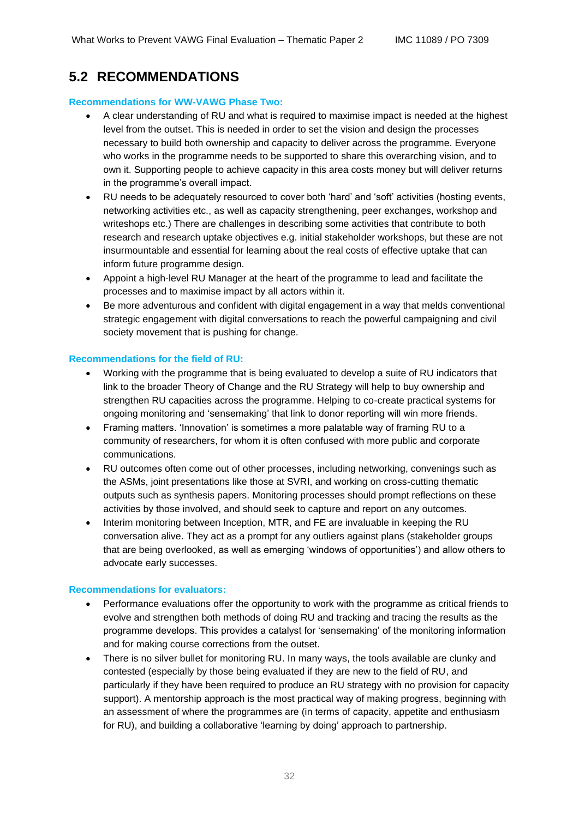# <span id="page-31-0"></span>**5.2 RECOMMENDATIONS**

#### **Recommendations for WW-VAWG Phase Two:**

- A clear understanding of RU and what is required to maximise impact is needed at the highest level from the outset. This is needed in order to set the vision and design the processes necessary to build both ownership and capacity to deliver across the programme. Everyone who works in the programme needs to be supported to share this overarching vision, and to own it. Supporting people to achieve capacity in this area costs money but will deliver returns in the programme's overall impact.
- RU needs to be adequately resourced to cover both 'hard' and 'soft' activities (hosting events, networking activities etc., as well as capacity strengthening, peer exchanges, workshop and writeshops etc.) There are challenges in describing some activities that contribute to both research and research uptake objectives e.g. initial stakeholder workshops, but these are not insurmountable and essential for learning about the real costs of effective uptake that can inform future programme design.
- Appoint a high-level RU Manager at the heart of the programme to lead and facilitate the processes and to maximise impact by all actors within it.
- Be more adventurous and confident with digital engagement in a way that melds conventional strategic engagement with digital conversations to reach the powerful campaigning and civil society movement that is pushing for change.

#### **Recommendations for the field of RU:**

- Working with the programme that is being evaluated to develop a suite of RU indicators that link to the broader Theory of Change and the RU Strategy will help to buy ownership and strengthen RU capacities across the programme. Helping to co-create practical systems for ongoing monitoring and 'sensemaking' that link to donor reporting will win more friends.
- Framing matters. 'Innovation' is sometimes a more palatable way of framing RU to a community of researchers, for whom it is often confused with more public and corporate communications.
- RU outcomes often come out of other processes, including networking, convenings such as the ASMs, joint presentations like those at SVRI, and working on cross-cutting thematic outputs such as synthesis papers. Monitoring processes should prompt reflections on these activities by those involved, and should seek to capture and report on any outcomes.
- Interim monitoring between Inception, MTR, and FE are invaluable in keeping the RU conversation alive. They act as a prompt for any outliers against plans (stakeholder groups that are being overlooked, as well as emerging 'windows of opportunities') and allow others to advocate early successes.

#### **Recommendations for evaluators:**

- Performance evaluations offer the opportunity to work with the programme as critical friends to evolve and strengthen both methods of doing RU and tracking and tracing the results as the programme develops. This provides a catalyst for 'sensemaking' of the monitoring information and for making course corrections from the outset.
- There is no silver bullet for monitoring RU. In many ways, the tools available are clunky and contested (especially by those being evaluated if they are new to the field of RU, and particularly if they have been required to produce an RU strategy with no provision for capacity support). A mentorship approach is the most practical way of making progress, beginning with an assessment of where the programmes are (in terms of capacity, appetite and enthusiasm for RU), and building a collaborative 'learning by doing' approach to partnership.